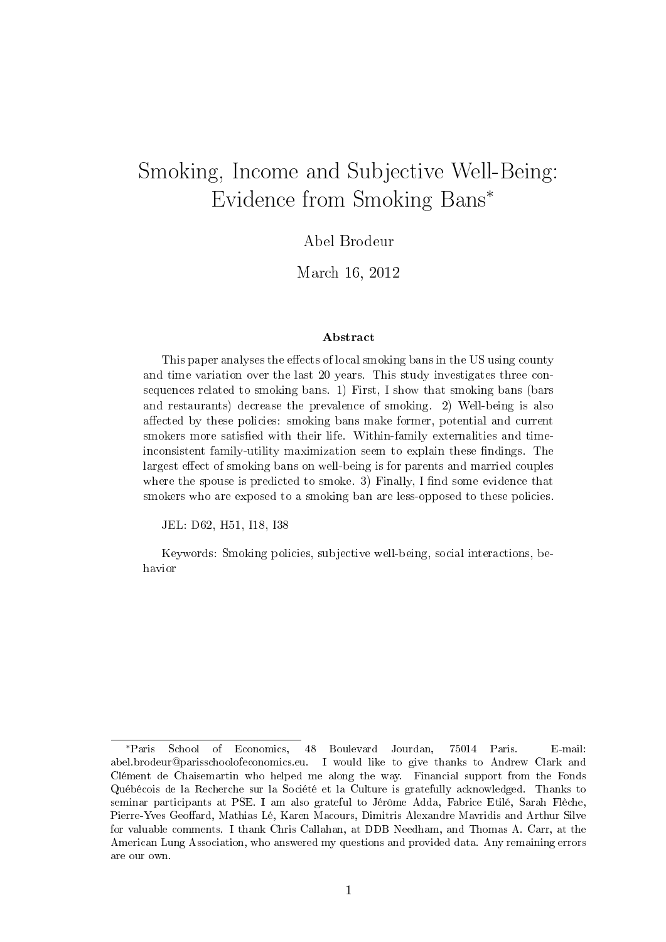# Smoking, Income and Subjective Well-Being: Evidence from Smoking Bans<sup>∗</sup>

### Abel Brodeur

### March 16, 2012

#### Abstract

This paper analyses the effects of local smoking bans in the US using county and time variation over the last 20 years. This study investigates three consequences related to smoking bans. 1) First, I show that smoking bans (bars and restaurants) decrease the prevalence of smoking. 2) Well-being is also affected by these policies: smoking bans make former, potential and current smokers more satisfied with their life. Within-family externalities and timeinconsistent family-utility maximization seem to explain these findings. The largest effect of smoking bans on well-being is for parents and married couples where the spouse is predicted to smoke. 3) Finally, I find some evidence that smokers who are exposed to a smoking ban are less-opposed to these policies.

JEL: D62, H51, I18, I38

Keywords: Smoking policies, subjective well-being, social interactions, behavior

<sup>∗</sup>Paris School of Economics, 48 Boulevard Jourdan, 75014 Paris. E-mail: abel.brodeur@parisschoolofeconomics.eu. I would like to give thanks to Andrew Clark and Clément de Chaisemartin who helped me along the way. Financial support from the Fonds Québécois de la Recherche sur la Société et la Culture is gratefully acknowledged. Thanks to seminar participants at PSE. I am also grateful to Jérôme Adda, Fabrice Etilé, Sarah Flèche, Pierre-Yves Geoffard, Mathias Lé, Karen Macours, Dimitris Alexandre Mavridis and Arthur Silve for valuable comments. I thank Chris Callahan, at DDB Needham, and Thomas A. Carr, at the American Lung Association, who answered my questions and provided data. Any remaining errors are our own.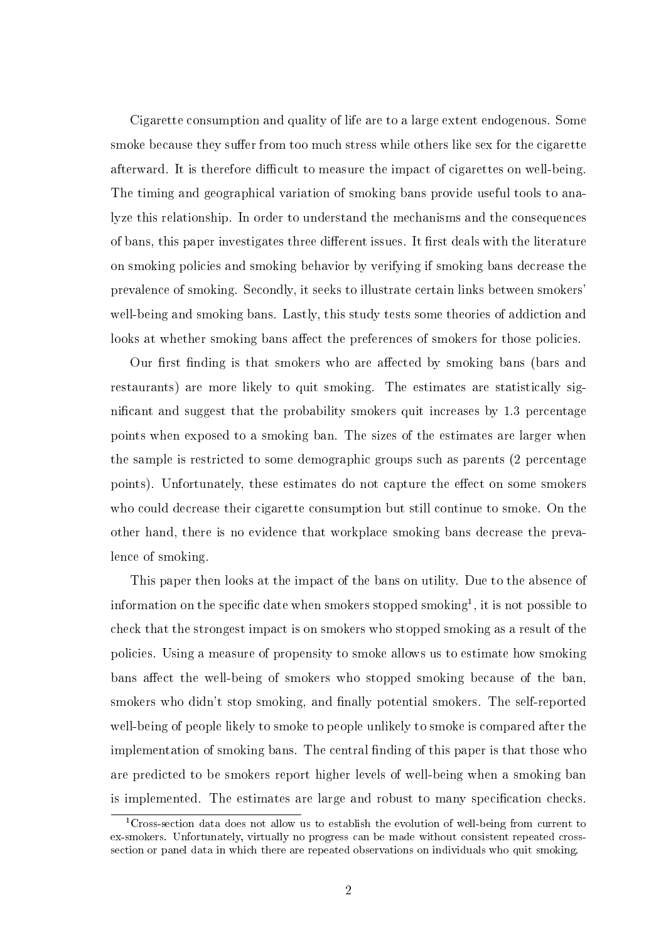Cigarette consumption and quality of life are to a large extent endogenous. Some smoke because they suffer from too much stress while others like sex for the cigarette afterward. It is therefore difficult to measure the impact of cigarettes on well-being. The timing and geographical variation of smoking bans provide useful tools to analyze this relationship. In order to understand the mechanisms and the consequences of bans, this paper investigates three different issues. It first deals with the literature on smoking policies and smoking behavior by verifying if smoking bans decrease the prevalence of smoking. Secondly, it seeks to illustrate certain links between smokers' well-being and smoking bans. Lastly, this study tests some theories of addiction and looks at whether smoking bans affect the preferences of smokers for those policies.

Our first finding is that smokers who are affected by smoking bans (bars and restaurants) are more likely to quit smoking. The estimates are statistically signicant and suggest that the probability smokers quit increases by 1.3 percentage points when exposed to a smoking ban. The sizes of the estimates are larger when the sample is restricted to some demographic groups such as parents (2 percentage points). Unfortunately, these estimates do not capture the effect on some smokers who could decrease their cigarette consumption but still continue to smoke. On the other hand, there is no evidence that workplace smoking bans decrease the prevalence of smoking.

This paper then looks at the impact of the bans on utility. Due to the absence of information on the specific date when smokers stopped smoking<sup>1</sup>, it is not possible to check that the strongest impact is on smokers who stopped smoking as a result of the policies. Using a measure of propensity to smoke allows us to estimate how smoking bans affect the well-being of smokers who stopped smoking because of the ban, smokers who didn't stop smoking, and finally potential smokers. The self-reported well-being of people likely to smoke to people unlikely to smoke is compared after the implementation of smoking bans. The central finding of this paper is that those who are predicted to be smokers report higher levels of well-being when a smoking ban is implemented. The estimates are large and robust to many specification checks.

<sup>&</sup>lt;sup>1</sup>Cross-section data does not allow us to establish the evolution of well-being from current to ex-smokers. Unfortunately, virtually no progress can be made without consistent repeated crosssection or panel data in which there are repeated observations on individuals who quit smoking.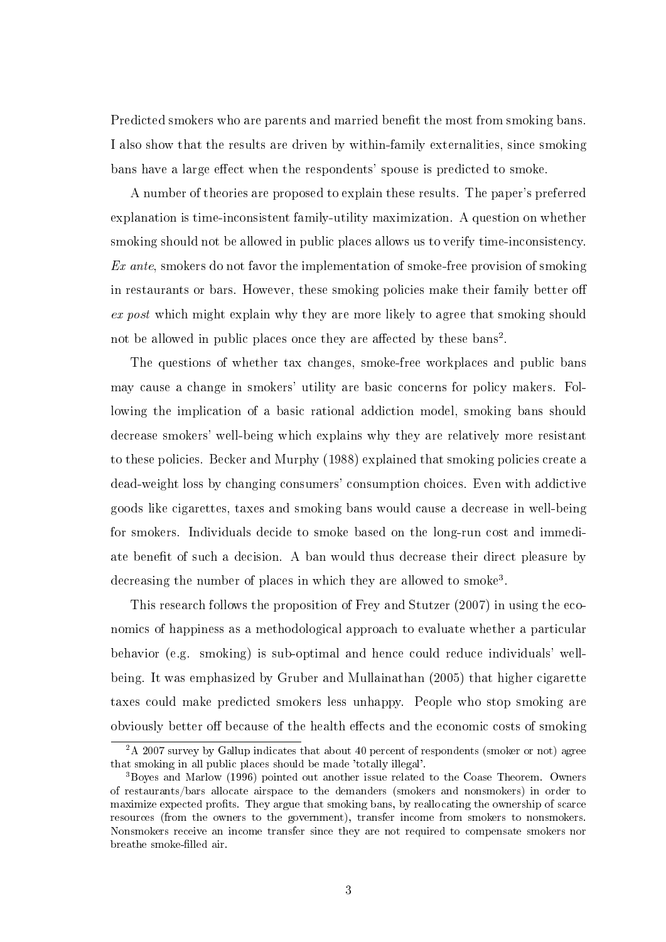Predicted smokers who are parents and married benefit the most from smoking bans. I also show that the results are driven by within-family externalities, since smoking bans have a large effect when the respondents' spouse is predicted to smoke.

A number of theories are proposed to explain these results. The paper's preferred explanation is time-inconsistent family-utility maximization. A question on whether smoking should not be allowed in public places allows us to verify time-inconsistency. Ex ante, smokers do not favor the implementation of smoke-free provision of smoking in restaurants or bars. However, these smoking policies make their family better o ex post which might explain why they are more likely to agree that smoking should not be allowed in public places once they are affected by these  $bans<sup>2</sup>$ .

The questions of whether tax changes, smoke-free workplaces and public bans may cause a change in smokers' utility are basic concerns for policy makers. Following the implication of a basic rational addiction model, smoking bans should decrease smokers' well-being which explains why they are relatively more resistant to these policies. Becker and Murphy (1988) explained that smoking policies create a dead-weight loss by changing consumers' consumption choices. Even with addictive goods like cigarettes, taxes and smoking bans would cause a decrease in well-being for smokers. Individuals decide to smoke based on the long-run cost and immediate benefit of such a decision. A ban would thus decrease their direct pleasure by decreasing the number of places in which they are allowed to smoke<sup>3</sup>.

This research follows the proposition of Frey and Stutzer (2007) in using the economics of happiness as a methodological approach to evaluate whether a particular behavior (e.g. smoking) is sub-optimal and hence could reduce individuals' wellbeing. It was emphasized by Gruber and Mullainathan (2005) that higher cigarette taxes could make predicted smokers less unhappy. People who stop smoking are obviously better off because of the health effects and the economic costs of smoking

<sup>&</sup>lt;sup>2</sup>A 2007 survey by Gallup indicates that about 40 percent of respondents (smoker or not) agree that smoking in all public places should be made 'totally illegal'.

<sup>3</sup>Boyes and Marlow (1996) pointed out another issue related to the Coase Theorem. Owners of restaurants/bars allocate airspace to the demanders (smokers and nonsmokers) in order to maximize expected profits. They argue that smoking bans, by reallocating the ownership of scarce resources (from the owners to the government), transfer income from smokers to nonsmokers. Nonsmokers receive an income transfer since they are not required to compensate smokers nor breathe smoke-filled air.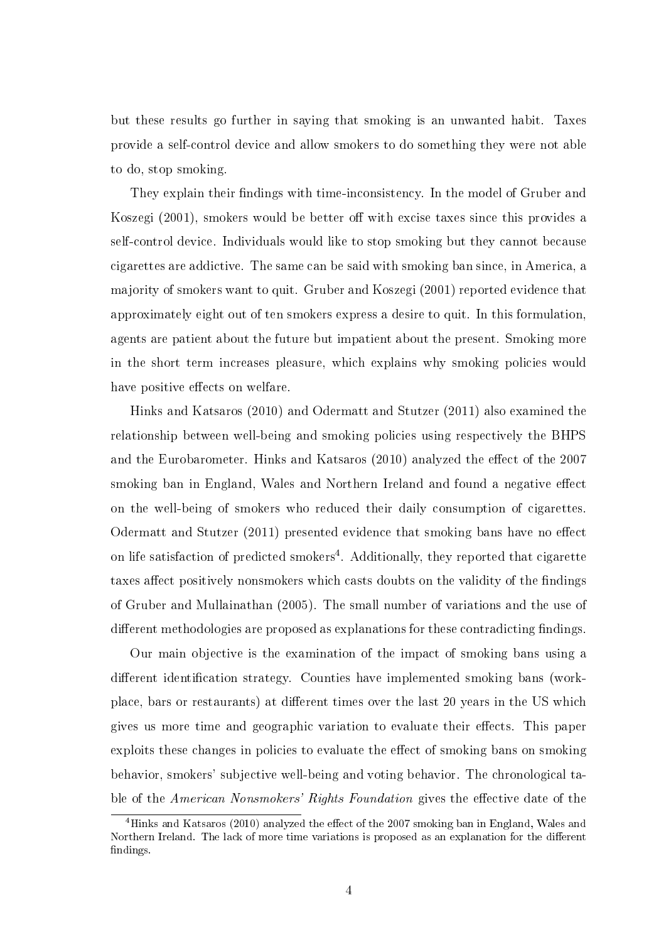but these results go further in saying that smoking is an unwanted habit. Taxes provide a self-control device and allow smokers to do something they were not able to do, stop smoking.

They explain their findings with time-inconsistency. In the model of Gruber and Koszegi  $(2001)$ , smokers would be better off with excise taxes since this provides a self-control device. Individuals would like to stop smoking but they cannot because cigarettes are addictive. The same can be said with smoking ban since, in America, a majority of smokers want to quit. Gruber and Koszegi (2001) reported evidence that approximately eight out of ten smokers express a desire to quit. In this formulation, agents are patient about the future but impatient about the present. Smoking more in the short term increases pleasure, which explains why smoking policies would have positive effects on welfare.

Hinks and Katsaros (2010) and Odermatt and Stutzer (2011) also examined the relationship between well-being and smoking policies using respectively the BHPS and the Eurobarometer. Hinks and Katsaros (2010) analyzed the effect of the 2007 smoking ban in England, Wales and Northern Ireland and found a negative effect on the well-being of smokers who reduced their daily consumption of cigarettes. Odermatt and Stutzer  $(2011)$  presented evidence that smoking bans have no effect on life satisfaction of predicted smokers<sup>4</sup>. Additionally, they reported that cigarette taxes affect positively nonsmokers which casts doubts on the validity of the findings of Gruber and Mullainathan (2005). The small number of variations and the use of different methodologies are proposed as explanations for these contradicting findings.

Our main objective is the examination of the impact of smoking bans using a different identification strategy. Counties have implemented smoking bans (workplace, bars or restaurants) at different times over the last 20 years in the US which gives us more time and geographic variation to evaluate their effects. This paper exploits these changes in policies to evaluate the effect of smoking bans on smoking behavior, smokers' subjective well-being and voting behavior. The chronological table of the American Nonsmokers' Rights Foundation gives the effective date of the

<sup>&</sup>lt;sup>4</sup>Hinks and Katsaros (2010) analyzed the effect of the 2007 smoking ban in England, Wales and Northern Ireland. The lack of more time variations is proposed as an explanation for the different findings.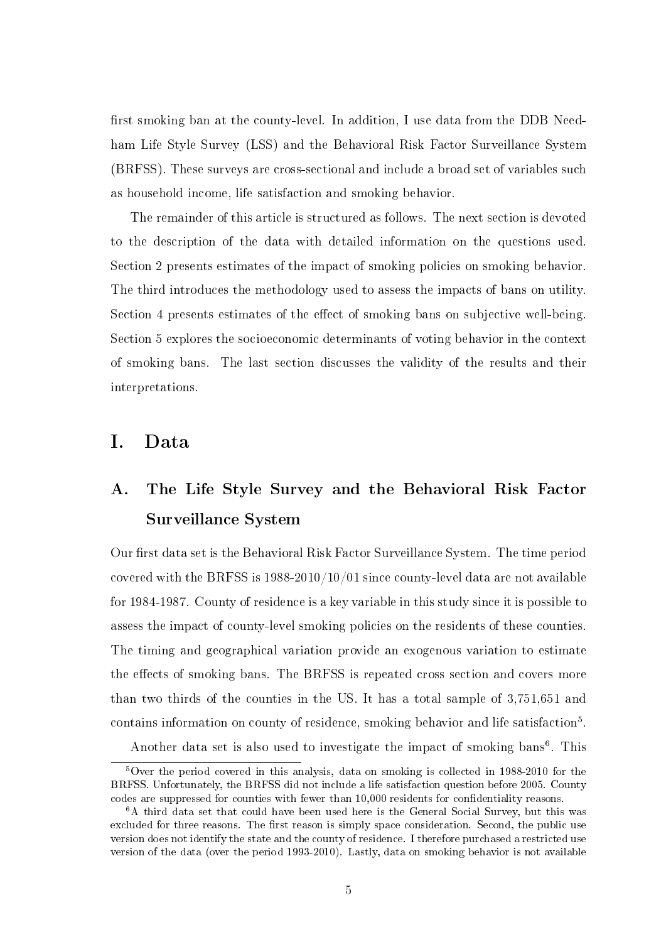first smoking ban at the county-level. In addition, I use data from the DDB Needham Life Style Survey (LSS) and the Behavioral Risk Factor Surveillance System (BRFSS). These surveys are cross-sectional and include a broad set of variables such as household income, life satisfaction and smoking behavior.

The remainder of this article is structured as follows. The next section is devoted to the description of the data with detailed information on the questions used. Section 2 presents estimates of the impact of smoking policies on smoking behavior. The third introduces the methodology used to assess the impacts of bans on utility. Section 4 presents estimates of the effect of smoking bans on subjective well-being. Section 5 explores the socioeconomic determinants of voting behavior in the context of smoking bans. The last section discusses the validity of the results and their interpretations.

### I. Data

## A. The Life Style Survey and the Behavioral Risk Factor Surveillance System

Our first data set is the Behavioral Risk Factor Surveillance System. The time period covered with the BRFSS is 1988-2010/10/01 since county-level data are not available for 1984-1987. County of residence is a key variable in this study since it is possible to assess the impact of county-level smoking policies on the residents of these counties. The timing and geographical variation provide an exogenous variation to estimate the effects of smoking bans. The BRFSS is repeated cross section and covers more than two thirds of the counties in the US. It has a total sample of 3,751,651 and contains information on county of residence, smoking behavior and life satisfaction<sup>5</sup>.

Another data set is also used to investigate the impact of smoking bans<sup>6</sup>. This

<sup>5</sup>Over the period covered in this analysis, data on smoking is collected in 1988-2010 for the BRFSS. Unfortunately, the BRFSS did not include a life satisfaction question before 2005. County codes are suppressed for counties with fewer than 10,000 residents for condentiality reasons.

<sup>6</sup>A third data set that could have been used here is the General Social Survey, but this was excluded for three reasons. The first reason is simply space consideration. Second, the public use version does not identify the state and the county of residence. I therefore purchased a restricted use version of the data (over the period 1993-2010). Lastly, data on smoking behavior is not available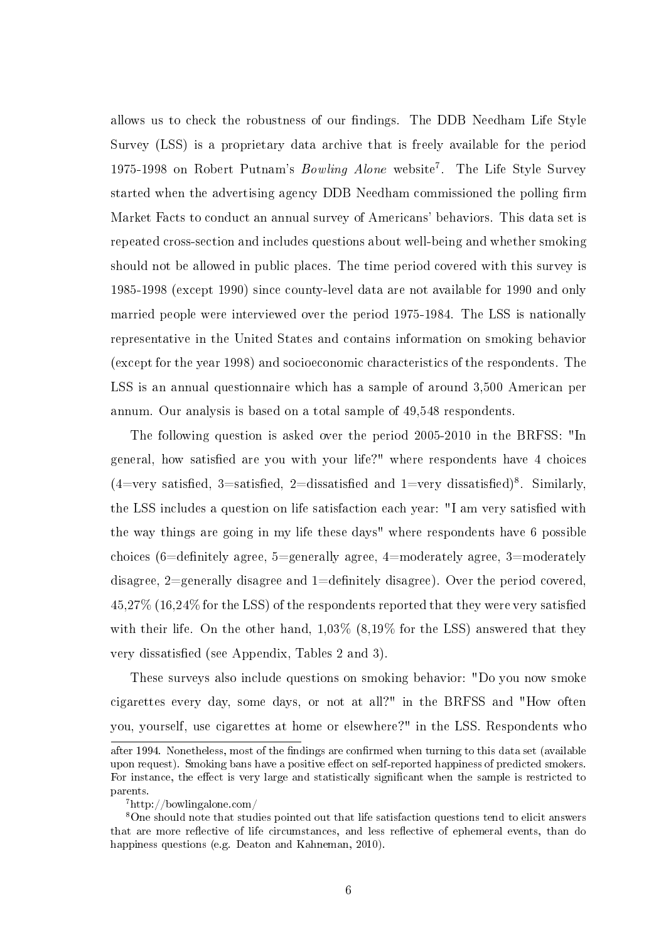allows us to check the robustness of our findings. The DDB Needham Life Style Survey (LSS) is a proprietary data archive that is freely available for the period 1975-1998 on Robert Putnam's *Bowling Alone* website<sup>7</sup>. The Life Style Survey started when the advertising agency DDB Needham commissioned the polling firm Market Facts to conduct an annual survey of Americans' behaviors. This data set is repeated cross-section and includes questions about well-being and whether smoking should not be allowed in public places. The time period covered with this survey is 1985-1998 (except 1990) since county-level data are not available for 1990 and only married people were interviewed over the period 1975-1984. The LSS is nationally representative in the United States and contains information on smoking behavior (except for the year 1998) and socioeconomic characteristics of the respondents. The LSS is an annual questionnaire which has a sample of around 3,500 American per annum. Our analysis is based on a total sample of 49,548 respondents.

The following question is asked over the period 2005-2010 in the BRFSS: "In general, how satisfied are you with your life?" where respondents have 4 choices  $(4=very satisfied, 3=satisfied, 2=dissatisfied and 1=very dissatisfied)<sup>8</sup>. Similarly,$ the LSS includes a question on life satisfaction each year: "I am very satised with the way things are going in my life these days" where respondents have 6 possible choices (6=definitely agree, 5=generally agree, 4=moderately agree, 3=moderately disagree,  $2$ =generally disagree and  $1$ =definitely disagree). Over the period covered, 45,27% (16,24% for the LSS) of the respondents reported that they were very satised with their life. On the other hand, 1,03% (8,19% for the LSS) answered that they very dissatisfied (see Appendix, Tables 2 and 3).

These surveys also include questions on smoking behavior: "Do you now smoke cigarettes every day, some days, or not at all?" in the BRFSS and "How often you, yourself, use cigarettes at home or elsewhere?" in the LSS. Respondents who

after 1994. Nonetheless, most of the findings are confirmed when turning to this data set (available upon request). Smoking bans have a positive effect on self-reported happiness of predicted smokers. For instance, the effect is very large and statistically significant when the sample is restricted to parents.

<sup>7</sup>http://bowlingalone.com/

<sup>8</sup>One should note that studies pointed out that life satisfaction questions tend to elicit answers that are more reflective of life circumstances, and less reflective of ephemeral events, than do happiness questions (e.g. Deaton and Kahneman, 2010).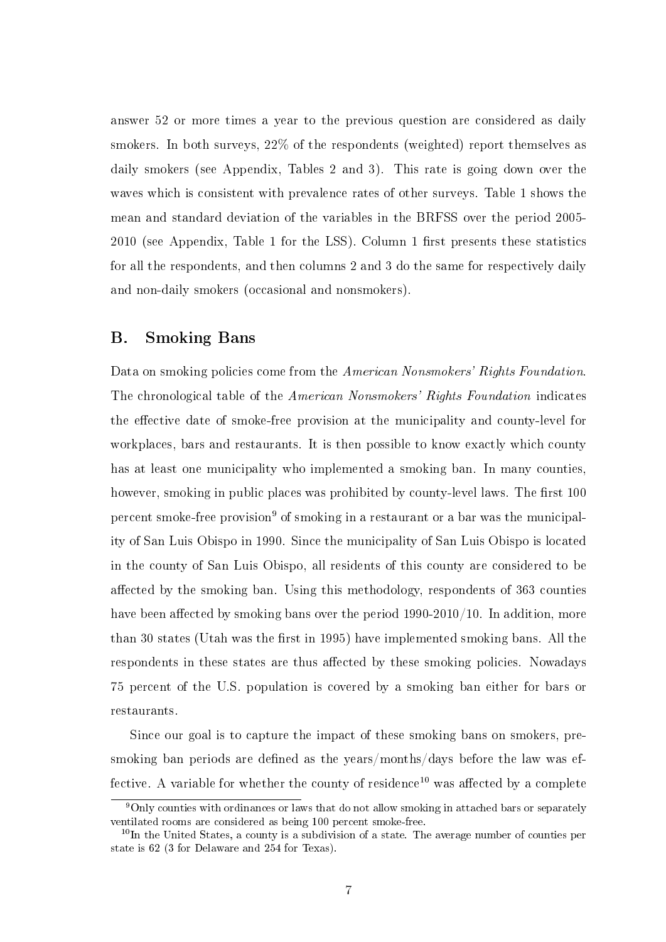answer 52 or more times a year to the previous question are considered as daily smokers. In both surveys, 22% of the respondents (weighted) report themselves as daily smokers (see Appendix, Tables 2 and 3). This rate is going down over the waves which is consistent with prevalence rates of other surveys. Table 1 shows the mean and standard deviation of the variables in the BRFSS over the period 2005-  $2010$  (see Appendix, Table 1 for the LSS). Column 1 first presents these statistics for all the respondents, and then columns 2 and 3 do the same for respectively daily and non-daily smokers (occasional and nonsmokers).

### B. Smoking Bans

Data on smoking policies come from the American Nonsmokers' Rights Foundation. The chronological table of the American Nonsmokers' Rights Foundation indicates the effective date of smoke-free provision at the municipality and county-level for workplaces, bars and restaurants. It is then possible to know exactly which county has at least one municipality who implemented a smoking ban. In many counties, however, smoking in public places was prohibited by county-level laws. The first 100 percent smoke-free provision<sup>9</sup> of smoking in a restaurant or a bar was the municipality of San Luis Obispo in 1990. Since the municipality of San Luis Obispo is located in the county of San Luis Obispo, all residents of this county are considered to be affected by the smoking ban. Using this methodology, respondents of 363 counties have been affected by smoking bans over the period  $1990-2010/10$ . In addition, more than 30 states (Utah was the first in 1995) have implemented smoking bans. All the respondents in these states are thus affected by these smoking policies. Nowadays 75 percent of the U.S. population is covered by a smoking ban either for bars or restaurants.

Since our goal is to capture the impact of these smoking bans on smokers, presmoking ban periods are defined as the years/months/days before the law was effective. A variable for whether the county of residence<sup>10</sup> was affected by a complete

<sup>&</sup>lt;sup>9</sup>Only counties with ordinances or laws that do not allow smoking in attached bars or separately ventilated rooms are considered as being 100 percent smoke-free.

 $10$ In the United States, a county is a subdivision of a state. The average number of counties per state is 62 (3 for Delaware and 254 for Texas).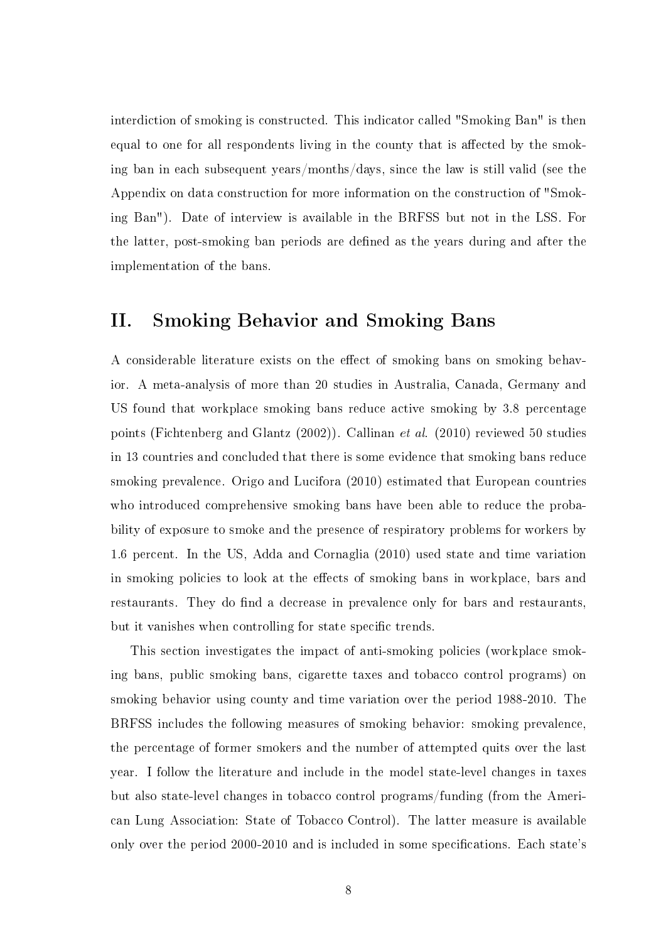interdiction of smoking is constructed. This indicator called "Smoking Ban" is then equal to one for all respondents living in the county that is affected by the smoking ban in each subsequent years/months/days, since the law is still valid (see the Appendix on data construction for more information on the construction of "Smoking Ban"). Date of interview is available in the BRFSS but not in the LSS. For the latter, post-smoking ban periods are defined as the years during and after the implementation of the bans.

## II. Smoking Behavior and Smoking Bans

A considerable literature exists on the effect of smoking bans on smoking behavior. A meta-analysis of more than 20 studies in Australia, Canada, Germany and US found that workplace smoking bans reduce active smoking by 3.8 percentage points (Fichtenberg and Glantz (2002)). Callinan et al. (2010) reviewed 50 studies in 13 countries and concluded that there is some evidence that smoking bans reduce smoking prevalence. Origo and Lucifora (2010) estimated that European countries who introduced comprehensive smoking bans have been able to reduce the probability of exposure to smoke and the presence of respiratory problems for workers by 1.6 percent. In the US, Adda and Cornaglia (2010) used state and time variation in smoking policies to look at the effects of smoking bans in workplace, bars and restaurants. They do find a decrease in prevalence only for bars and restaurants, but it vanishes when controlling for state specific trends.

This section investigates the impact of anti-smoking policies (workplace smoking bans, public smoking bans, cigarette taxes and tobacco control programs) on smoking behavior using county and time variation over the period 1988-2010. The BRFSS includes the following measures of smoking behavior: smoking prevalence, the percentage of former smokers and the number of attempted quits over the last year. I follow the literature and include in the model state-level changes in taxes but also state-level changes in tobacco control programs/funding (from the American Lung Association: State of Tobacco Control). The latter measure is available only over the period 2000-2010 and is included in some specifications. Each state's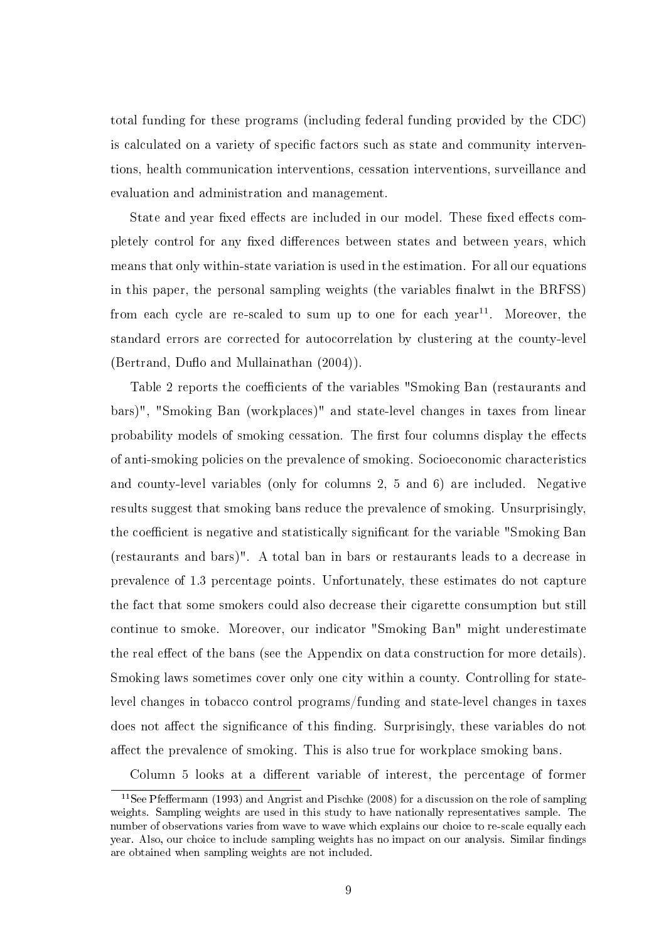total funding for these programs (including federal funding provided by the CDC) is calculated on a variety of specific factors such as state and community interventions, health communication interventions, cessation interventions, surveillance and evaluation and administration and management.

State and year fixed effects are included in our model. These fixed effects completely control for any fixed differences between states and between years, which means that only within-state variation is used in the estimation. For all our equations in this paper, the personal sampling weights (the variables finalwt in the BRFSS) from each cycle are re-scaled to sum up to one for each year<sup>11</sup>. Moreover, the standard errors are corrected for autocorrelation by clustering at the county-level (Bertrand, Duflo and Mullainathan  $(2004)$ ).

Table 2 reports the coefficients of the variables "Smoking Ban (restaurants and bars)", "Smoking Ban (workplaces)" and state-level changes in taxes from linear probability models of smoking cessation. The first four columns display the effects of anti-smoking policies on the prevalence of smoking. Socioeconomic characteristics and county-level variables (only for columns 2, 5 and 6) are included. Negative results suggest that smoking bans reduce the prevalence of smoking. Unsurprisingly, the coefficient is negative and statistically significant for the variable "Smoking Ban (restaurants and bars)". A total ban in bars or restaurants leads to a decrease in prevalence of 1.3 percentage points. Unfortunately, these estimates do not capture the fact that some smokers could also decrease their cigarette consumption but still continue to smoke. Moreover, our indicator "Smoking Ban" might underestimate the real effect of the bans (see the Appendix on data construction for more details). Smoking laws sometimes cover only one city within a county. Controlling for statelevel changes in tobacco control programs/funding and state-level changes in taxes does not affect the significance of this finding. Surprisingly, these variables do not affect the prevalence of smoking. This is also true for workplace smoking bans.

Column 5 looks at a different variable of interest, the percentage of former

 $11$ See Pfeffermann (1993) and Angrist and Pischke (2008) for a discussion on the role of sampling weights. Sampling weights are used in this study to have nationally representatives sample. The number of observations varies from wave to wave which explains our choice to re-scale equally each year. Also, our choice to include sampling weights has no impact on our analysis. Similar findings are obtained when sampling weights are not included.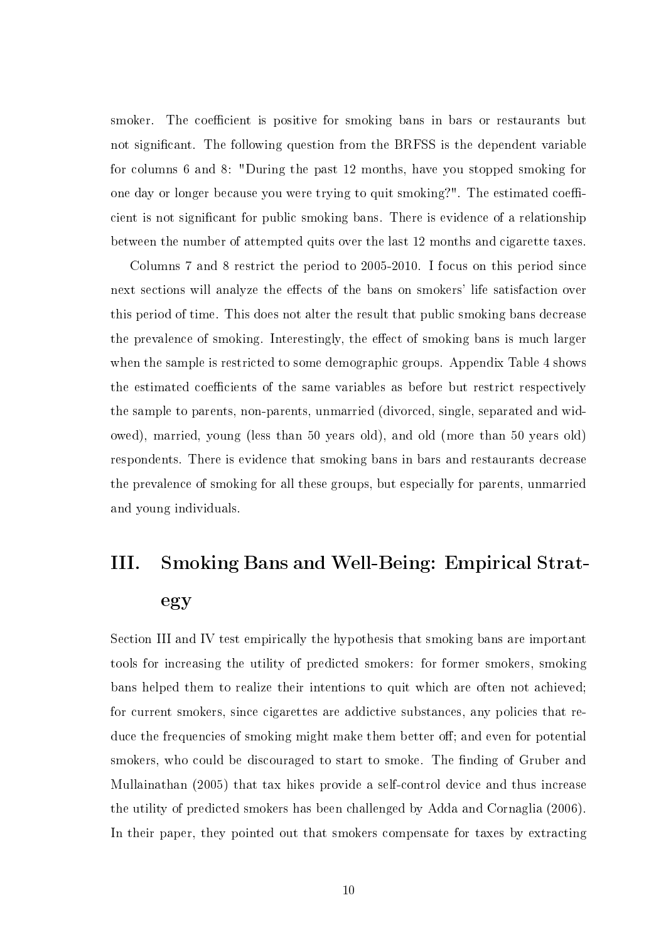smoker. The coefficient is positive for smoking bans in bars or restaurants but not significant. The following question from the BRFSS is the dependent variable for columns 6 and 8: "During the past 12 months, have you stopped smoking for one day or longer because you were trying to quit smoking?". The estimated coefficient is not signicant for public smoking bans. There is evidence of a relationship between the number of attempted quits over the last 12 months and cigarette taxes.

Columns 7 and 8 restrict the period to 2005-2010. I focus on this period since next sections will analyze the effects of the bans on smokers' life satisfaction over this period of time. This does not alter the result that public smoking bans decrease the prevalence of smoking. Interestingly, the effect of smoking bans is much larger when the sample is restricted to some demographic groups. Appendix Table 4 shows the estimated coefficients of the same variables as before but restrict respectively the sample to parents, non-parents, unmarried (divorced, single, separated and widowed), married, young (less than 50 years old), and old (more than 50 years old) respondents. There is evidence that smoking bans in bars and restaurants decrease the prevalence of smoking for all these groups, but especially for parents, unmarried and young individuals.

# III. Smoking Bans and Well-Being: Empirical Strategy

Section III and IV test empirically the hypothesis that smoking bans are important tools for increasing the utility of predicted smokers: for former smokers, smoking bans helped them to realize their intentions to quit which are often not achieved; for current smokers, since cigarettes are addictive substances, any policies that reduce the frequencies of smoking might make them better off; and even for potential smokers, who could be discouraged to start to smoke. The finding of Gruber and Mullainathan (2005) that tax hikes provide a self-control device and thus increase the utility of predicted smokers has been challenged by Adda and Cornaglia (2006). In their paper, they pointed out that smokers compensate for taxes by extracting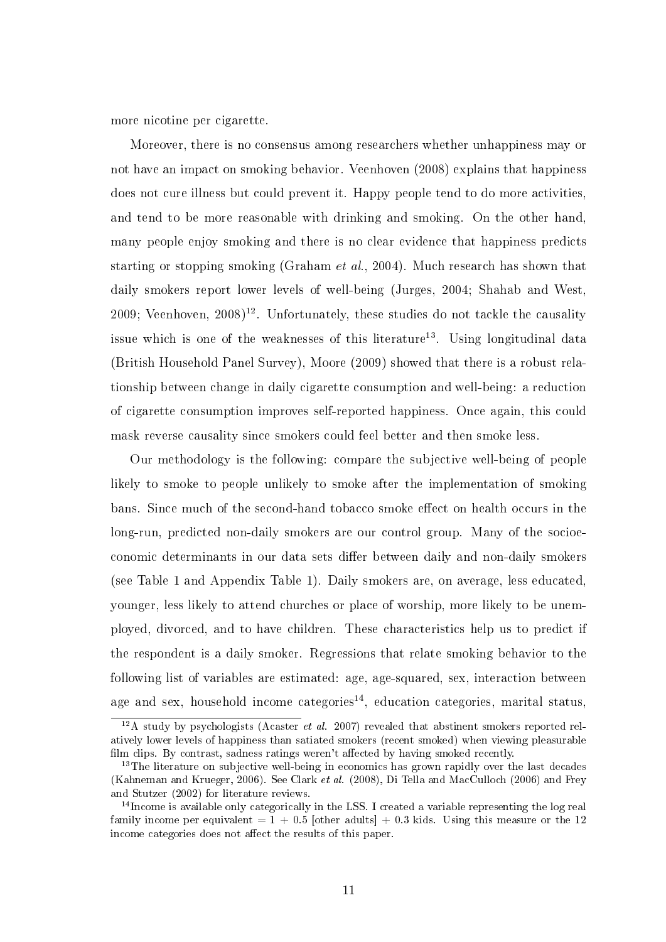more nicotine per cigarette.

Moreover, there is no consensus among researchers whether unhappiness may or not have an impact on smoking behavior. Veenhoven (2008) explains that happiness does not cure illness but could prevent it. Happy people tend to do more activities, and tend to be more reasonable with drinking and smoking. On the other hand, many people enjoy smoking and there is no clear evidence that happiness predicts starting or stopping smoking (Graham et al., 2004). Much research has shown that daily smokers report lower levels of well-being (Jurges, 2004; Shahab and West, 2009; Veenhoven,  $2008$ <sup>12</sup>. Unfortunately, these studies do not tackle the causality issue which is one of the weaknesses of this literature<sup>13</sup>. Using longitudinal data (British Household Panel Survey), Moore (2009) showed that there is a robust relationship between change in daily cigarette consumption and well-being: a reduction of cigarette consumption improves self-reported happiness. Once again, this could mask reverse causality since smokers could feel better and then smoke less.

Our methodology is the following: compare the subjective well-being of people likely to smoke to people unlikely to smoke after the implementation of smoking bans. Since much of the second-hand tobacco smoke effect on health occurs in the long-run, predicted non-daily smokers are our control group. Many of the socioeconomic determinants in our data sets differ between daily and non-daily smokers (see Table 1 and Appendix Table 1). Daily smokers are, on average, less educated, younger, less likely to attend churches or place of worship, more likely to be unemployed, divorced, and to have children. These characteristics help us to predict if the respondent is a daily smoker. Regressions that relate smoking behavior to the following list of variables are estimated: age, age-squared, sex, interaction between age and sex, household income categories<sup>14</sup>, education categories, marital status,

 $12A$  study by psychologists (Acaster *et al.* 2007) revealed that abstinent smokers reported relatively lower levels of happiness than satiated smokers (recent smoked) when viewing pleasurable film clips. By contrast, sadness ratings weren't affected by having smoked recently.

<sup>&</sup>lt;sup>13</sup>The literature on subjective well-being in economics has grown rapidly over the last decades (Kahneman and Krueger, 2006). See Clark et al. (2008), Di Tella and MacCulloch (2006) and Frey and Stutzer (2002) for literature reviews.

<sup>&</sup>lt;sup>14</sup>Income is available only categorically in the LSS. I created a variable representing the log real family income per equivalent =  $1 + 0.5$  [other adults] + 0.3 kids. Using this measure or the 12 income categories does not affect the results of this paper.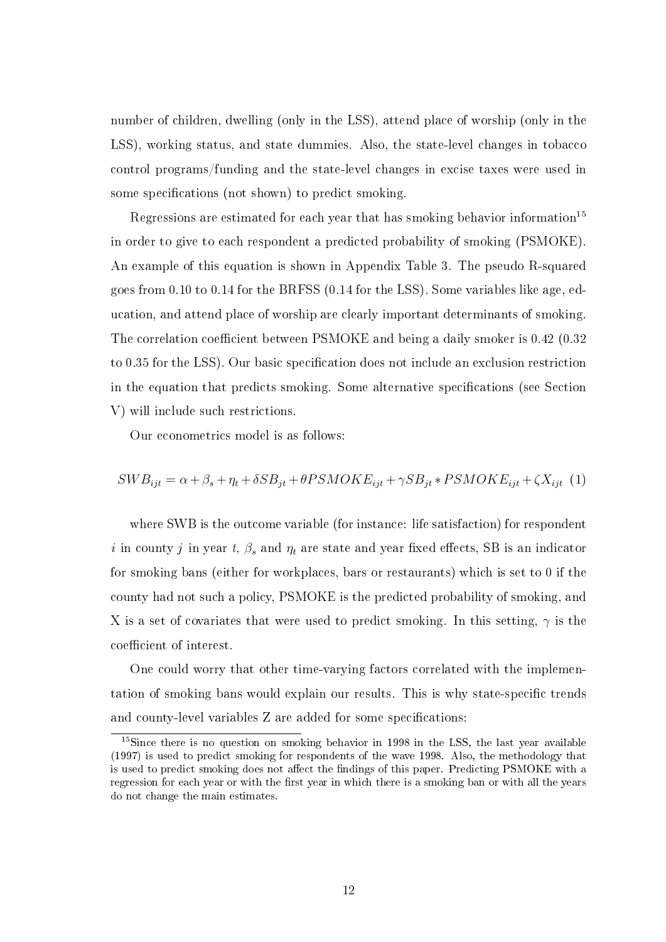number of children, dwelling (only in the LSS), attend place of worship (only in the LSS), working status, and state dummies. Also, the state-level changes in tobacco control programs/funding and the state-level changes in excise taxes were used in some specifications (not shown) to predict smoking.

Regressions are estimated for each year that has smoking behavior information<sup>15</sup> in order to give to each respondent a predicted probability of smoking (PSMOKE). An example of this equation is shown in Appendix Table 3. The pseudo R-squared goes from 0.10 to 0.14 for the BRFSS (0.14 for the LSS). Some variables like age, education, and attend place of worship are clearly important determinants of smoking. The correlation coefficient between PSMOKE and being a daily smoker is 0.42 (0.32) to 0.35 for the LSS). Our basic specification does not include an exclusion restriction in the equation that predicts smoking. Some alternative specifications (see Section V) will include such restrictions.

Our econometrics model is as follows:

$$
SWB_{ijt} = \alpha + \beta_s + \eta_t + \delta SB_{jt} + \theta PSMOKE_{ijt} + \gamma SB_{jt} * PSMOKE_{ijt} + \zeta X_{ijt} \tag{1}
$$

where SWB is the outcome variable (for instance: life satisfaction) for respondent i in county j in year t,  $\beta_s$  and  $\eta_t$  are state and year fixed effects, SB is an indicator for smoking bans (either for workplaces, bars or restaurants) which is set to 0 if the county had not such a policy, PSMOKE is the predicted probability of smoking, and X is a set of covariates that were used to predict smoking. In this setting,  $\gamma$  is the coefficient of interest.

One could worry that other time-varying factors correlated with the implementation of smoking bans would explain our results. This is why state-specific trends and county-level variables Z are added for some specifications:

<sup>&</sup>lt;sup>15</sup>Since there is no question on smoking behavior in 1998 in the LSS, the last year available (1997) is used to predict smoking for respondents of the wave 1998. Also, the methodology that is used to predict smoking does not affect the findings of this paper. Predicting PSMOKE with a regression for each year or with the first year in which there is a smoking ban or with all the years do not change the main estimates.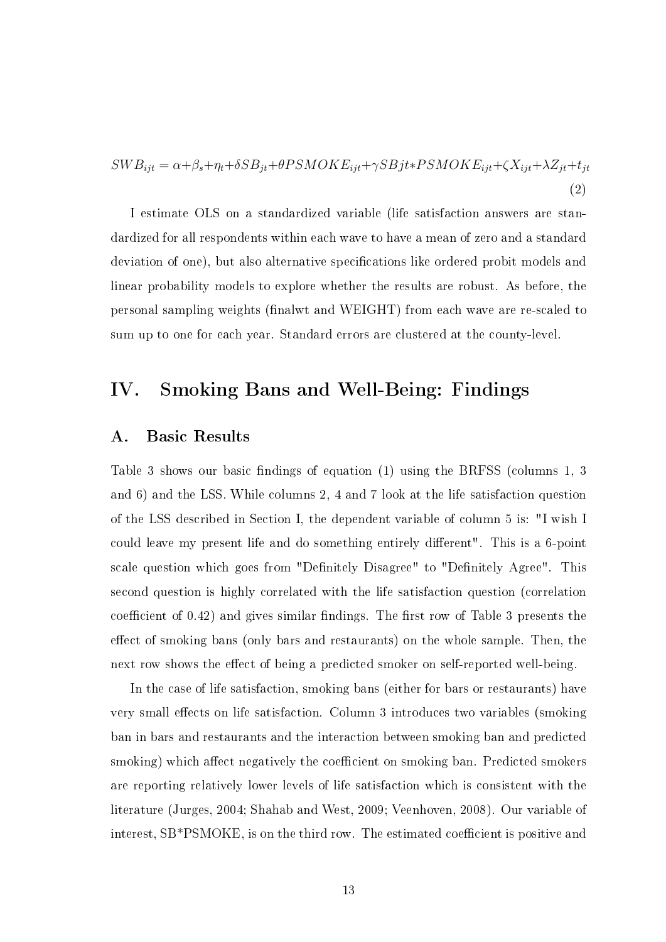$SWB_{ijt} = \alpha + \beta_s + \eta_t + \delta SB_{jt} + \theta PSMOKE_{ijt} + \gamma SBjt * PSMOKE_{ijt} + \zeta X_{ijt} + \lambda Z_{jt} + t_{jt}$ (2)

I estimate OLS on a standardized variable (life satisfaction answers are standardized for all respondents within each wave to have a mean of zero and a standard deviation of one), but also alternative specifications like ordered probit models and linear probability models to explore whether the results are robust. As before, the personal sampling weights (finalwt and WEIGHT) from each wave are re-scaled to sum up to one for each year. Standard errors are clustered at the county-level.

## IV. Smoking Bans and Well-Being: Findings

#### A. Basic Results

Table 3 shows our basic findings of equation (1) using the BRFSS (columns 1, 3 and 6) and the LSS. While columns 2, 4 and 7 look at the life satisfaction question of the LSS described in Section I, the dependent variable of column 5 is: "I wish I could leave my present life and do something entirely different". This is a 6-point scale question which goes from "Definitely Disagree" to "Definitely Agree". This second question is highly correlated with the life satisfaction question (correlation coefficient of  $(0.42)$  and gives similar findings. The first row of Table 3 presents the effect of smoking bans (only bars and restaurants) on the whole sample. Then, the next row shows the effect of being a predicted smoker on self-reported well-being.

In the case of life satisfaction, smoking bans (either for bars or restaurants) have very small effects on life satisfaction. Column 3 introduces two variables (smoking ban in bars and restaurants and the interaction between smoking ban and predicted smoking) which affect negatively the coefficient on smoking ban. Predicted smokers are reporting relatively lower levels of life satisfaction which is consistent with the literature (Jurges, 2004; Shahab and West, 2009; Veenhoven, 2008). Our variable of interest, SB\*PSMOKE, is on the third row. The estimated coefficient is positive and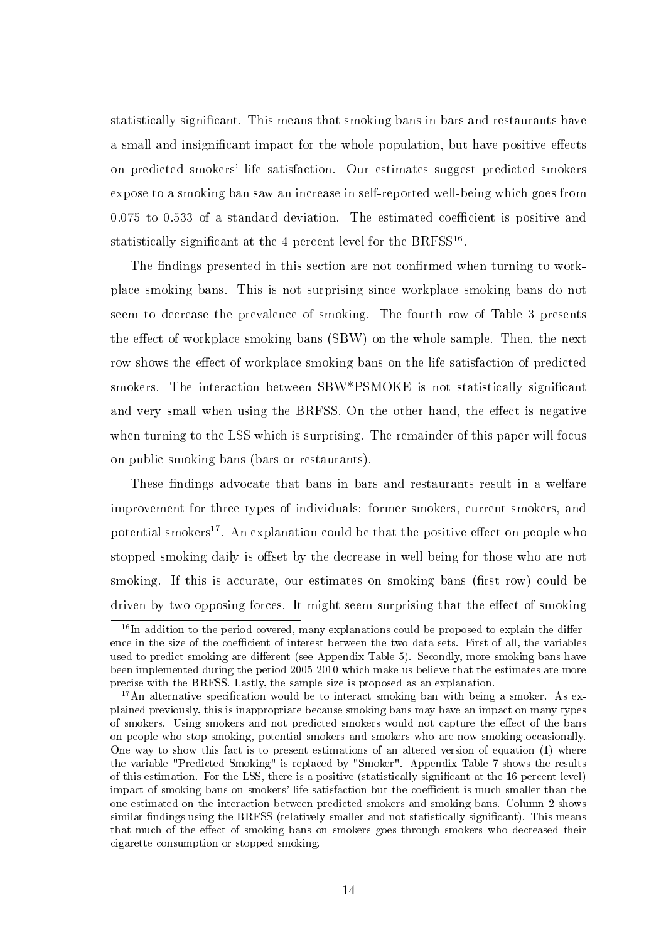statistically signicant. This means that smoking bans in bars and restaurants have a small and insignificant impact for the whole population, but have positive effects on predicted smokers' life satisfaction. Our estimates suggest predicted smokers expose to a smoking ban saw an increase in self-reported well-being which goes from  $0.075$  to  $0.533$  of a standard deviation. The estimated coefficient is positive and statistically significant at the 4 percent level for the BRFSS<sup>16</sup>.

The findings presented in this section are not confirmed when turning to workplace smoking bans. This is not surprising since workplace smoking bans do not seem to decrease the prevalence of smoking. The fourth row of Table 3 presents the effect of workplace smoking bans (SBW) on the whole sample. Then, the next row shows the effect of workplace smoking bans on the life satisfaction of predicted smokers. The interaction between SBW\*PSMOKE is not statistically significant and very small when using the BRFSS. On the other hand, the effect is negative when turning to the LSS which is surprising. The remainder of this paper will focus on public smoking bans (bars or restaurants).

These findings advocate that bans in bars and restaurants result in a welfare improvement for three types of individuals: former smokers, current smokers, and potential smokers<sup>17</sup>. An explanation could be that the positive effect on people who stopped smoking daily is offset by the decrease in well-being for those who are not smoking. If this is accurate, our estimates on smoking bans (first row) could be driven by two opposing forces. It might seem surprising that the effect of smoking

 $16$ In addition to the period covered, many explanations could be proposed to explain the difference in the size of the coefficient of interest between the two data sets. First of all, the variables used to predict smoking are different (see Appendix Table 5). Secondly, more smoking bans have been implemented during the period 2005-2010 which make us believe that the estimates are more precise with the BRFSS. Lastly, the sample size is proposed as an explanation.

<sup>&</sup>lt;sup>17</sup>An alternative specification would be to interact smoking ban with being a smoker. As explained previously, this is inappropriate because smoking bans may have an impact on many types of smokers. Using smokers and not predicted smokers would not capture the effect of the bans on people who stop smoking, potential smokers and smokers who are now smoking occasionally. One way to show this fact is to present estimations of an altered version of equation (1) where the variable "Predicted Smoking" is replaced by "Smoker". Appendix Table 7 shows the results of this estimation. For the LSS, there is a positive (statistically signicant at the 16 percent level) impact of smoking bans on smokers' life satisfaction but the coefficient is much smaller than the one estimated on the interaction between predicted smokers and smoking bans. Column 2 shows similar findings using the BRFSS (relatively smaller and not statistically significant). This means that much of the effect of smoking bans on smokers goes through smokers who decreased their cigarette consumption or stopped smoking.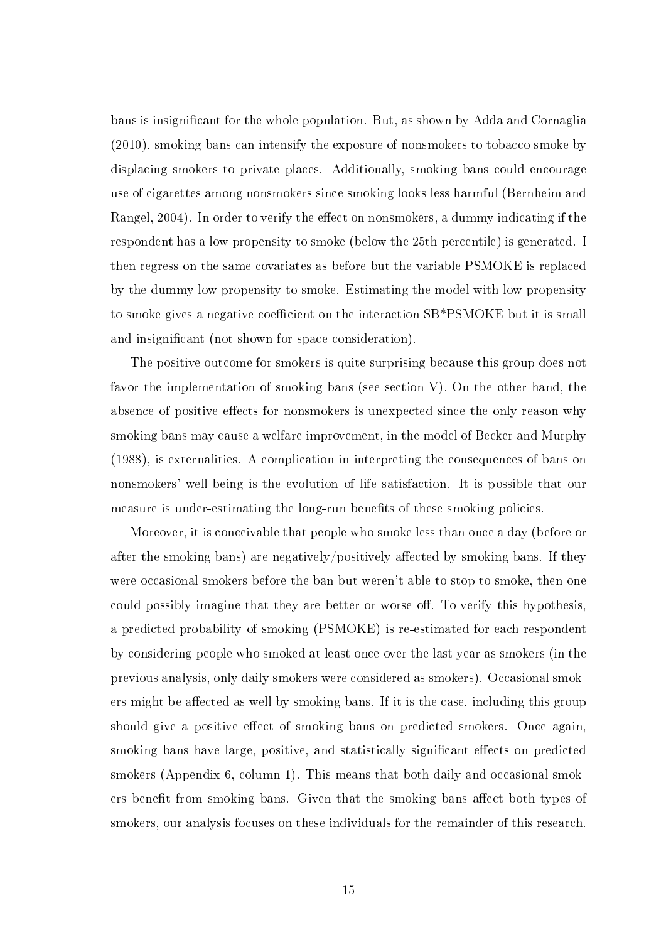bans is insignicant for the whole population. But, as shown by Adda and Cornaglia (2010), smoking bans can intensify the exposure of nonsmokers to tobacco smoke by displacing smokers to private places. Additionally, smoking bans could encourage use of cigarettes among nonsmokers since smoking looks less harmful (Bernheim and Rangel, 2004). In order to verify the effect on nonsmokers, a dummy indicating if the respondent has a low propensity to smoke (below the 25th percentile) is generated. I then regress on the same covariates as before but the variable PSMOKE is replaced by the dummy low propensity to smoke. Estimating the model with low propensity to smoke gives a negative coefficient on the interaction SB\*PSMOKE but it is small and insignificant (not shown for space consideration).

The positive outcome for smokers is quite surprising because this group does not favor the implementation of smoking bans (see section V). On the other hand, the absence of positive effects for nonsmokers is unexpected since the only reason why smoking bans may cause a welfare improvement, in the model of Becker and Murphy (1988), is externalities. A complication in interpreting the consequences of bans on nonsmokers' well-being is the evolution of life satisfaction. It is possible that our measure is under-estimating the long-run benefits of these smoking policies.

Moreover, it is conceivable that people who smoke less than once a day (before or after the smoking bans) are negatively/positively affected by smoking bans. If they were occasional smokers before the ban but weren't able to stop to smoke, then one could possibly imagine that they are better or worse off. To verify this hypothesis, a predicted probability of smoking (PSMOKE) is re-estimated for each respondent by considering people who smoked at least once over the last year as smokers (in the previous analysis, only daily smokers were considered as smokers). Occasional smokers might be affected as well by smoking bans. If it is the case, including this group should give a positive effect of smoking bans on predicted smokers. Once again, smoking bans have large, positive, and statistically significant effects on predicted smokers (Appendix 6, column 1). This means that both daily and occasional smokers benefit from smoking bans. Given that the smoking bans affect both types of smokers, our analysis focuses on these individuals for the remainder of this research.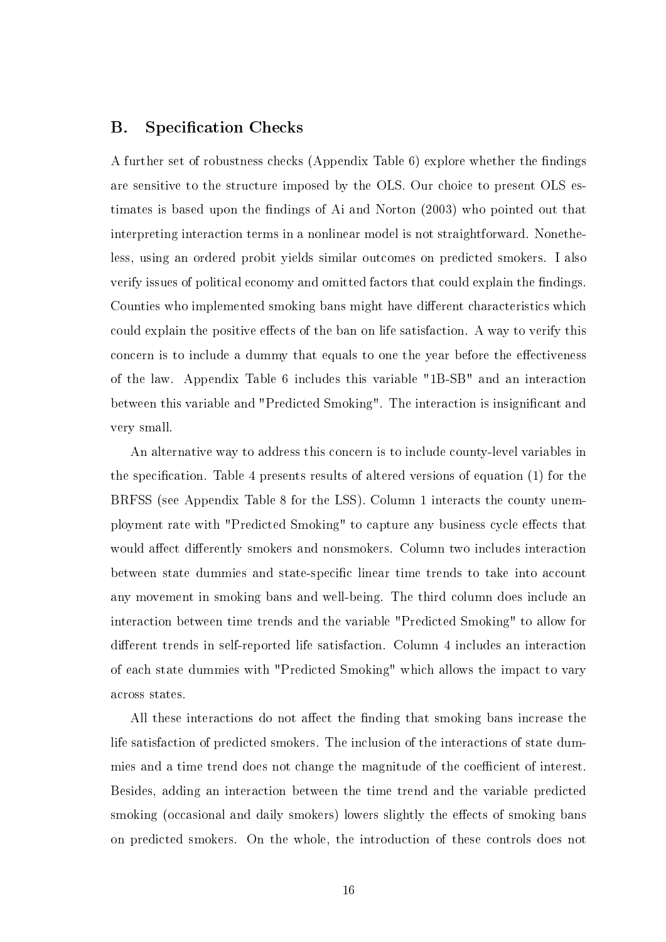### B. Specification Checks

A further set of robustness checks (Appendix Table  $6$ ) explore whether the findings are sensitive to the structure imposed by the OLS. Our choice to present OLS estimates is based upon the findings of Ai and Norton (2003) who pointed out that interpreting interaction terms in a nonlinear model is not straightforward. Nonetheless, using an ordered probit yields similar outcomes on predicted smokers. I also verify issues of political economy and omitted factors that could explain the findings. Counties who implemented smoking bans might have different characteristics which could explain the positive effects of the ban on life satisfaction. A way to verify this concern is to include a dummy that equals to one the year before the effectiveness of the law. Appendix Table 6 includes this variable "1B-SB" and an interaction between this variable and "Predicted Smoking". The interaction is insignificant and very small.

An alternative way to address this concern is to include county-level variables in the specification. Table 4 presents results of altered versions of equation  $(1)$  for the BRFSS (see Appendix Table 8 for the LSS). Column 1 interacts the county unemployment rate with "Predicted Smoking" to capture any business cycle effects that would affect differently smokers and nonsmokers. Column two includes interaction between state dummies and state-specific linear time trends to take into account any movement in smoking bans and well-being. The third column does include an interaction between time trends and the variable "Predicted Smoking" to allow for different trends in self-reported life satisfaction. Column 4 includes an interaction of each state dummies with "Predicted Smoking" which allows the impact to vary across states.

All these interactions do not affect the finding that smoking bans increase the life satisfaction of predicted smokers. The inclusion of the interactions of state dummies and a time trend does not change the magnitude of the coefficient of interest. Besides, adding an interaction between the time trend and the variable predicted smoking (occasional and daily smokers) lowers slightly the effects of smoking bans on predicted smokers. On the whole, the introduction of these controls does not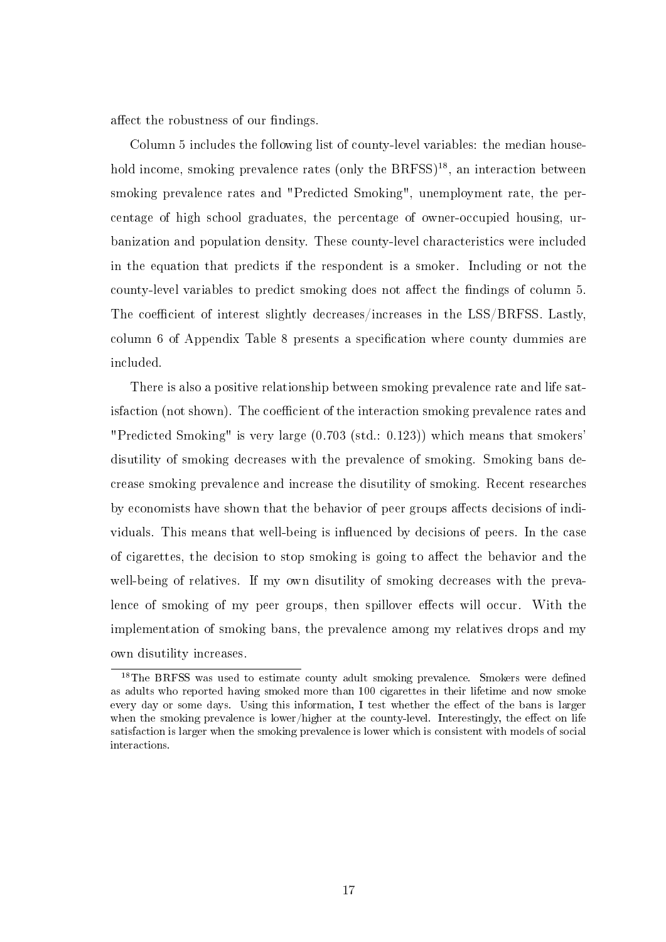affect the robustness of our findings.

Column 5 includes the following list of county-level variables: the median household income, smoking prevalence rates (only the  $BRFSS$ )<sup>18</sup>, an interaction between smoking prevalence rates and "Predicted Smoking", unemployment rate, the percentage of high school graduates, the percentage of owner-occupied housing, urbanization and population density. These county-level characteristics were included in the equation that predicts if the respondent is a smoker. Including or not the county-level variables to predict smoking does not affect the findings of column 5. The coefficient of interest slightly decreases/increases in the LSS/BRFSS. Lastly, column 6 of Appendix Table 8 presents a specification where county dummies are included.

There is also a positive relationship between smoking prevalence rate and life satisfaction (not shown). The coefficient of the interaction smoking prevalence rates and "Predicted Smoking" is very large (0.703 (std.: 0.123)) which means that smokers' disutility of smoking decreases with the prevalence of smoking. Smoking bans decrease smoking prevalence and increase the disutility of smoking. Recent researches by economists have shown that the behavior of peer groups affects decisions of individuals. This means that well-being is influenced by decisions of peers. In the case of cigarettes, the decision to stop smoking is going to affect the behavior and the well-being of relatives. If my own disutility of smoking decreases with the prevalence of smoking of my peer groups, then spillover effects will occur. With the implementation of smoking bans, the prevalence among my relatives drops and my own disutility increases.

<sup>&</sup>lt;sup>18</sup>The BRFSS was used to estimate county adult smoking prevalence. Smokers were defined as adults who reported having smoked more than 100 cigarettes in their lifetime and now smoke every day or some days. Using this information, I test whether the effect of the bans is larger when the smoking prevalence is lower/higher at the county-level. Interestingly, the effect on life satisfaction is larger when the smoking prevalence is lower which is consistent with models of social interactions.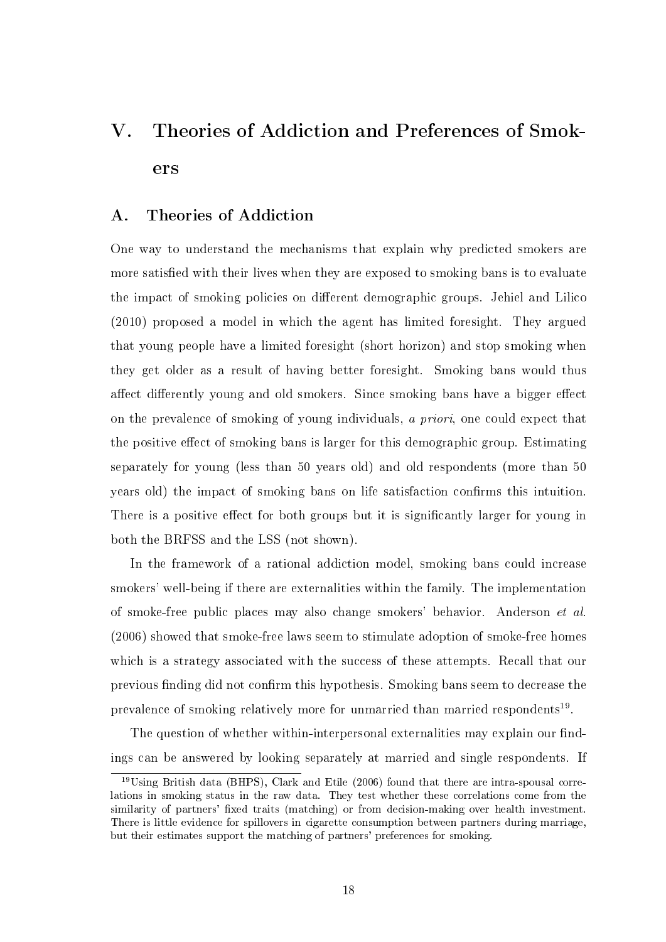# V. Theories of Addiction and Preferences of Smokers

### A. Theories of Addiction

One way to understand the mechanisms that explain why predicted smokers are more satisfied with their lives when they are exposed to smoking bans is to evaluate the impact of smoking policies on different demographic groups. Jehiel and Lilico (2010) proposed a model in which the agent has limited foresight. They argued that young people have a limited foresight (short horizon) and stop smoking when they get older as a result of having better foresight. Smoking bans would thus affect differently young and old smokers. Since smoking bans have a bigger effect on the prevalence of smoking of young individuals, a priori, one could expect that the positive effect of smoking bans is larger for this demographic group. Estimating separately for young (less than 50 years old) and old respondents (more than 50 years old) the impact of smoking bans on life satisfaction confirms this intuition. There is a positive effect for both groups but it is significantly larger for young in both the BRFSS and the LSS (not shown).

In the framework of a rational addiction model, smoking bans could increase smokers' well-being if there are externalities within the family. The implementation of smoke-free public places may also change smokers' behavior. Anderson et al. (2006) showed that smoke-free laws seem to stimulate adoption of smoke-free homes which is a strategy associated with the success of these attempts. Recall that our previous finding did not confirm this hypothesis. Smoking bans seem to decrease the prevalence of smoking relatively more for unmarried than married respondents<sup>19</sup>.

The question of whether within-interpersonal externalities may explain our findings can be answered by looking separately at married and single respondents. If

<sup>19</sup>Using British data (BHPS), Clark and Etile (2006) found that there are intra-spousal correlations in smoking status in the raw data. They test whether these correlations come from the similarity of partners' fixed traits (matching) or from decision-making over health investment. There is little evidence for spillovers in cigarette consumption between partners during marriage, but their estimates support the matching of partners' preferences for smoking.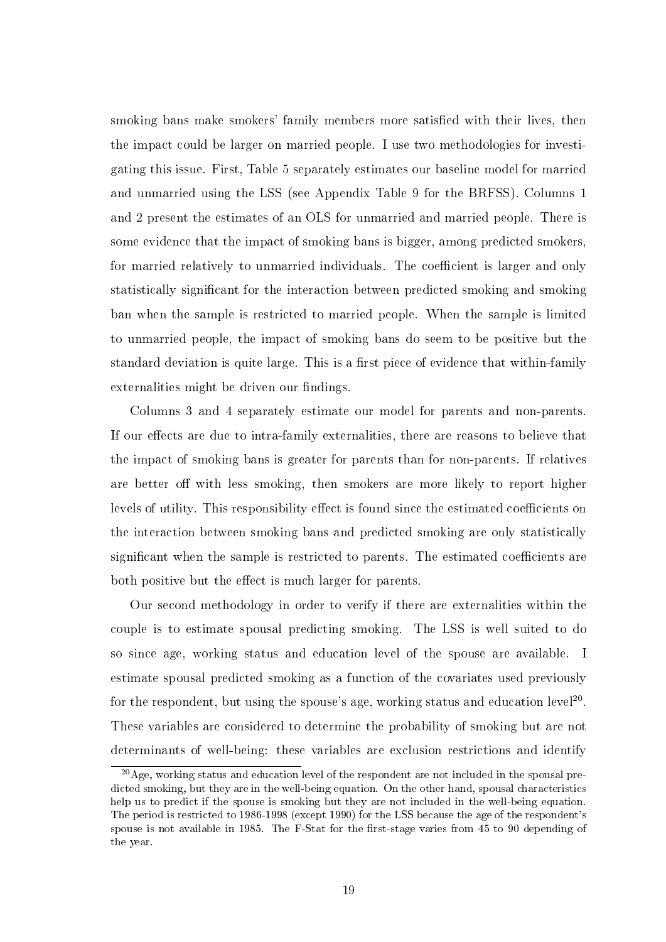smoking bans make smokers' family members more satisfied with their lives, then the impact could be larger on married people. I use two methodologies for investigating this issue. First, Table 5 separately estimates our baseline model for married and unmarried using the LSS (see Appendix Table 9 for the BRFSS). Columns 1 and 2 present the estimates of an OLS for unmarried and married people. There is some evidence that the impact of smoking bans is bigger, among predicted smokers, for married relatively to unmarried individuals. The coefficient is larger and only statistically significant for the interaction between predicted smoking and smoking ban when the sample is restricted to married people. When the sample is limited to unmarried people, the impact of smoking bans do seem to be positive but the standard deviation is quite large. This is a first piece of evidence that within-family externalities might be driven our findings.

Columns 3 and 4 separately estimate our model for parents and non-parents. If our effects are due to intra-family externalities, there are reasons to believe that the impact of smoking bans is greater for parents than for non-parents. If relatives are better off with less smoking, then smokers are more likely to report higher levels of utility. This responsibility effect is found since the estimated coefficients on the interaction between smoking bans and predicted smoking are only statistically significant when the sample is restricted to parents. The estimated coefficients are both positive but the effect is much larger for parents.

Our second methodology in order to verify if there are externalities within the couple is to estimate spousal predicting smoking. The LSS is well suited to do so since age, working status and education level of the spouse are available. I estimate spousal predicted smoking as a function of the covariates used previously for the respondent, but using the spouse's age, working status and education level<sup>20</sup>. These variables are considered to determine the probability of smoking but are not determinants of well-being: these variables are exclusion restrictions and identify

 $20$ Age, working status and education level of the respondent are not included in the spousal predicted smoking, but they are in the well-being equation. On the other hand, spousal characteristics help us to predict if the spouse is smoking but they are not included in the well-being equation. The period is restricted to 1986-1998 (except 1990) for the LSS because the age of the respondent's spouse is not available in 1985. The F-Stat for the first-stage varies from 45 to 90 depending of the year.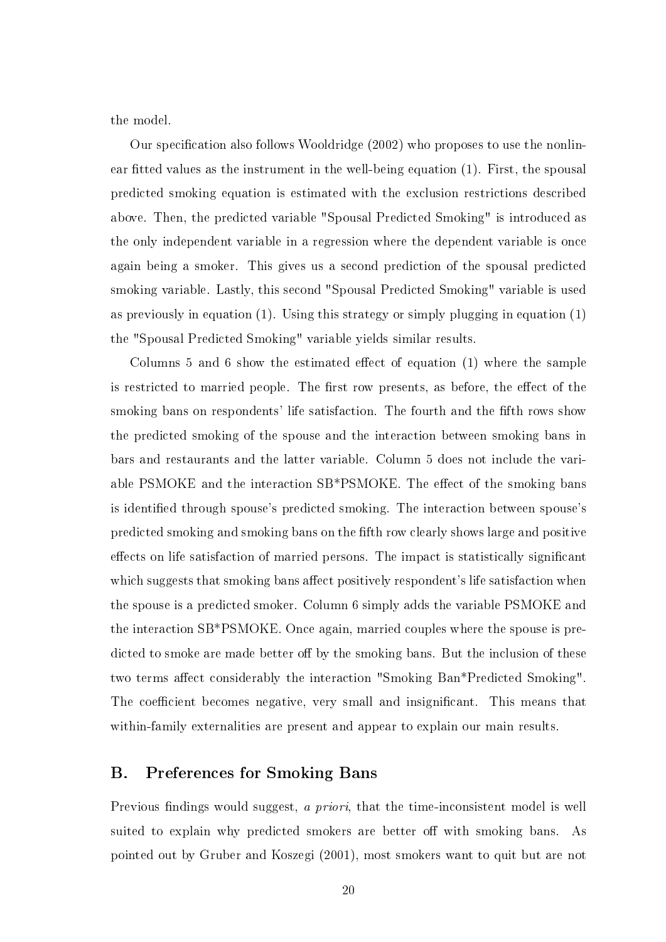the model.

Our specification also follows Wooldridge  $(2002)$  who proposes to use the nonlinear fitted values as the instrument in the well-being equation (1). First, the spousal predicted smoking equation is estimated with the exclusion restrictions described above. Then, the predicted variable "Spousal Predicted Smoking" is introduced as the only independent variable in a regression where the dependent variable is once again being a smoker. This gives us a second prediction of the spousal predicted smoking variable. Lastly, this second "Spousal Predicted Smoking" variable is used as previously in equation (1). Using this strategy or simply plugging in equation (1) the "Spousal Predicted Smoking" variable yields similar results.

Columns 5 and 6 show the estimated effect of equation  $(1)$  where the sample is restricted to married people. The first row presents, as before, the effect of the smoking bans on respondents' life satisfaction. The fourth and the fth rows show the predicted smoking of the spouse and the interaction between smoking bans in bars and restaurants and the latter variable. Column 5 does not include the variable PSMOKE and the interaction SB\*PSMOKE. The effect of the smoking bans is identified through spouse's predicted smoking. The interaction between spouse's predicted smoking and smoking bans on the fth row clearly shows large and positive effects on life satisfaction of married persons. The impact is statistically significant which suggests that smoking bans affect positively respondent's life satisfaction when the spouse is a predicted smoker. Column 6 simply adds the variable PSMOKE and the interaction SB\*PSMOKE. Once again, married couples where the spouse is predicted to smoke are made better off by the smoking bans. But the inclusion of these two terms affect considerably the interaction "Smoking Ban\*Predicted Smoking". The coefficient becomes negative, very small and insignificant. This means that within-family externalities are present and appear to explain our main results.

#### B. Preferences for Smoking Bans

Previous findings would suggest, a priori, that the time-inconsistent model is well suited to explain why predicted smokers are better off with smoking bans. As pointed out by Gruber and Koszegi (2001), most smokers want to quit but are not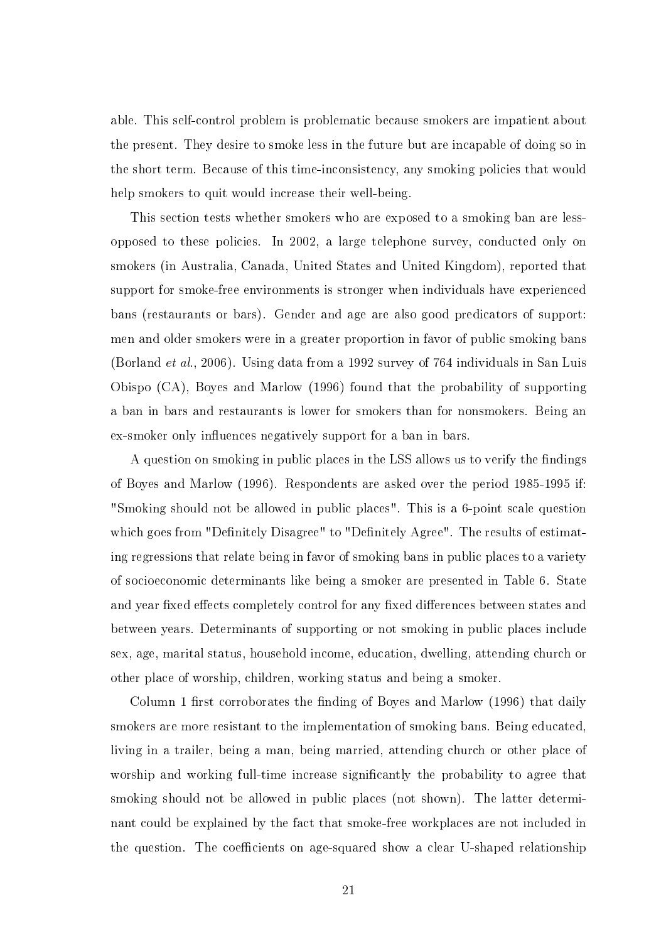able. This self-control problem is problematic because smokers are impatient about the present. They desire to smoke less in the future but are incapable of doing so in the short term. Because of this time-inconsistency, any smoking policies that would help smokers to quit would increase their well-being.

This section tests whether smokers who are exposed to a smoking ban are lessopposed to these policies. In 2002, a large telephone survey, conducted only on smokers (in Australia, Canada, United States and United Kingdom), reported that support for smoke-free environments is stronger when individuals have experienced bans (restaurants or bars). Gender and age are also good predicators of support: men and older smokers were in a greater proportion in favor of public smoking bans (Borland et al., 2006). Using data from a 1992 survey of 764 individuals in San Luis Obispo (CA), Boyes and Marlow (1996) found that the probability of supporting a ban in bars and restaurants is lower for smokers than for nonsmokers. Being an ex-smoker only influences negatively support for a ban in bars.

A question on smoking in public places in the LSS allows us to verify the findings of Boyes and Marlow (1996). Respondents are asked over the period 1985-1995 if: "Smoking should not be allowed in public places". This is a 6-point scale question which goes from "Definitely Disagree" to "Definitely Agree". The results of estimating regressions that relate being in favor of smoking bans in public places to a variety of socioeconomic determinants like being a smoker are presented in Table 6. State and year fixed effects completely control for any fixed differences between states and between years. Determinants of supporting or not smoking in public places include sex, age, marital status, household income, education, dwelling, attending church or other place of worship, children, working status and being a smoker.

Column 1 first corroborates the finding of Boyes and Marlow  $(1996)$  that daily smokers are more resistant to the implementation of smoking bans. Being educated, living in a trailer, being a man, being married, attending church or other place of worship and working full-time increase signicantly the probability to agree that smoking should not be allowed in public places (not shown). The latter determinant could be explained by the fact that smoke-free workplaces are not included in the question. The coefficients on age-squared show a clear U-shaped relationship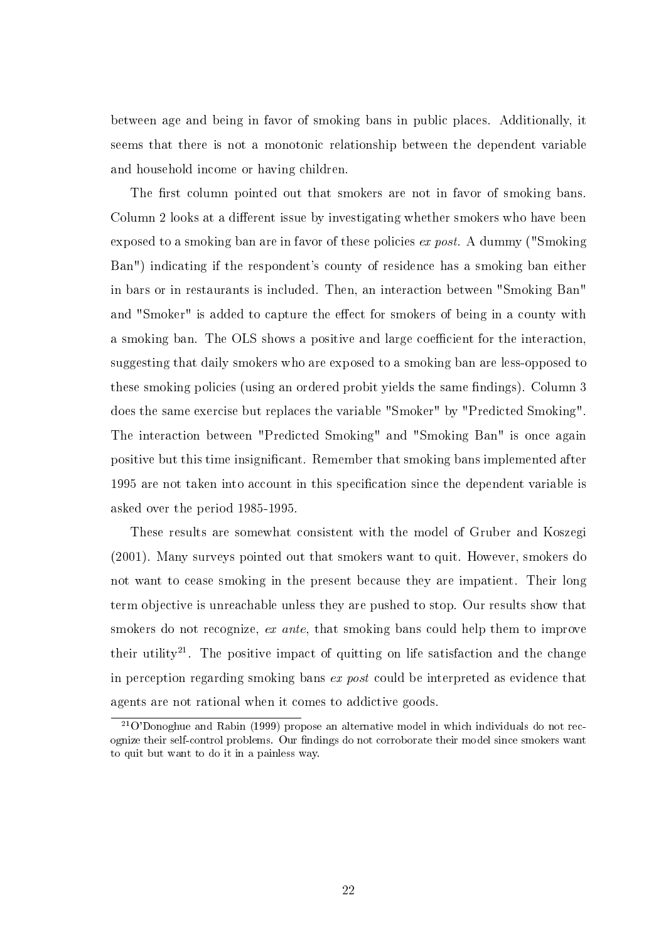between age and being in favor of smoking bans in public places. Additionally, it seems that there is not a monotonic relationship between the dependent variable and household income or having children.

The first column pointed out that smokers are not in favor of smoking bans. Column 2 looks at a different issue by investigating whether smokers who have been exposed to a smoking ban are in favor of these policies ex post. A dummy ("Smoking Ban") indicating if the respondent's county of residence has a smoking ban either in bars or in restaurants is included. Then, an interaction between "Smoking Ban" and "Smoker" is added to capture the effect for smokers of being in a county with a smoking ban. The OLS shows a positive and large coefficient for the interaction, suggesting that daily smokers who are exposed to a smoking ban are less-opposed to these smoking policies (using an ordered probit yields the same findings). Column 3 does the same exercise but replaces the variable "Smoker" by "Predicted Smoking". The interaction between "Predicted Smoking" and "Smoking Ban" is once again positive but this time insignicant. Remember that smoking bans implemented after 1995 are not taken into account in this specification since the dependent variable is asked over the period 1985-1995.

These results are somewhat consistent with the model of Gruber and Koszegi (2001). Many surveys pointed out that smokers want to quit. However, smokers do not want to cease smoking in the present because they are impatient. Their long term objective is unreachable unless they are pushed to stop. Our results show that smokers do not recognize, ex ante, that smoking bans could help them to improve their utility<sup>21</sup>. The positive impact of quitting on life satisfaction and the change in perception regarding smoking bans ex post could be interpreted as evidence that agents are not rational when it comes to addictive goods.

 $^{21}$ O'Donoghue and Rabin (1999) propose an alternative model in which individuals do not recognize their self-control problems. Our findings do not corroborate their model since smokers want to quit but want to do it in a painless way.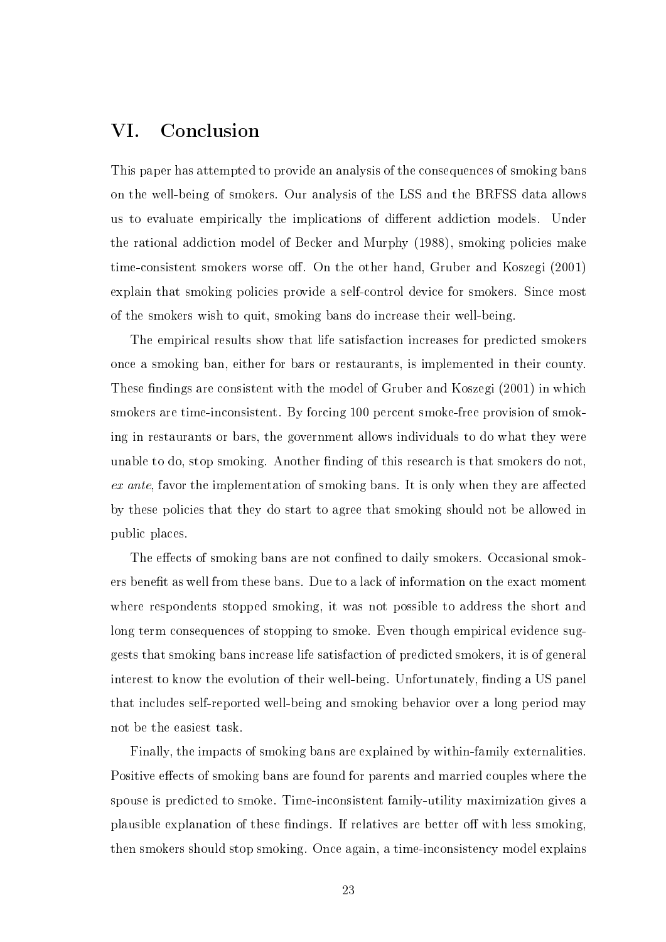### VI. Conclusion

This paper has attempted to provide an analysis of the consequences of smoking bans on the well-being of smokers. Our analysis of the LSS and the BRFSS data allows us to evaluate empirically the implications of different addiction models. Under the rational addiction model of Becker and Murphy (1988), smoking policies make time-consistent smokers worse off. On the other hand, Gruber and Koszegi (2001) explain that smoking policies provide a self-control device for smokers. Since most of the smokers wish to quit, smoking bans do increase their well-being.

The empirical results show that life satisfaction increases for predicted smokers once a smoking ban, either for bars or restaurants, is implemented in their county. These findings are consistent with the model of Gruber and Koszegi (2001) in which smokers are time-inconsistent. By forcing 100 percent smoke-free provision of smoking in restaurants or bars, the government allows individuals to do what they were unable to do, stop smoking. Another finding of this research is that smokers do not,  $ex$  ante, favor the implementation of smoking bans. It is only when they are affected by these policies that they do start to agree that smoking should not be allowed in public places.

The effects of smoking bans are not confined to daily smokers. Occasional smokers benefit as well from these bans. Due to a lack of information on the exact moment where respondents stopped smoking, it was not possible to address the short and long term consequences of stopping to smoke. Even though empirical evidence suggests that smoking bans increase life satisfaction of predicted smokers, it is of general interest to know the evolution of their well-being. Unfortunately, finding a US panel that includes self-reported well-being and smoking behavior over a long period may not be the easiest task.

Finally, the impacts of smoking bans are explained by within-family externalities. Positive effects of smoking bans are found for parents and married couples where the spouse is predicted to smoke. Time-inconsistent family-utility maximization gives a plausible explanation of these findings. If relatives are better off with less smoking, then smokers should stop smoking. Once again, a time-inconsistency model explains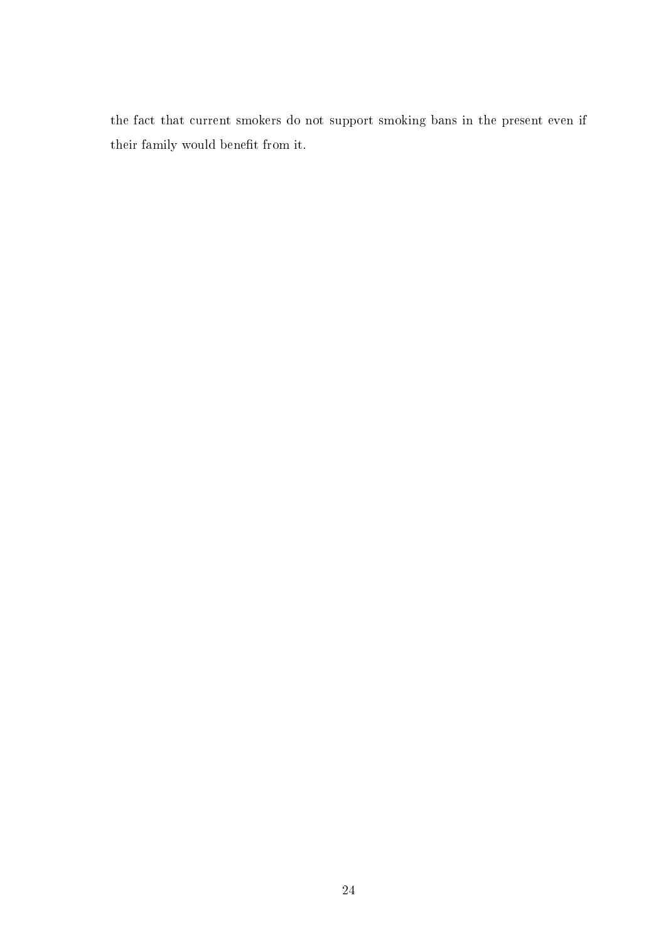the fact that current smokers do not support smoking bans in the present even if their family would benefit from it.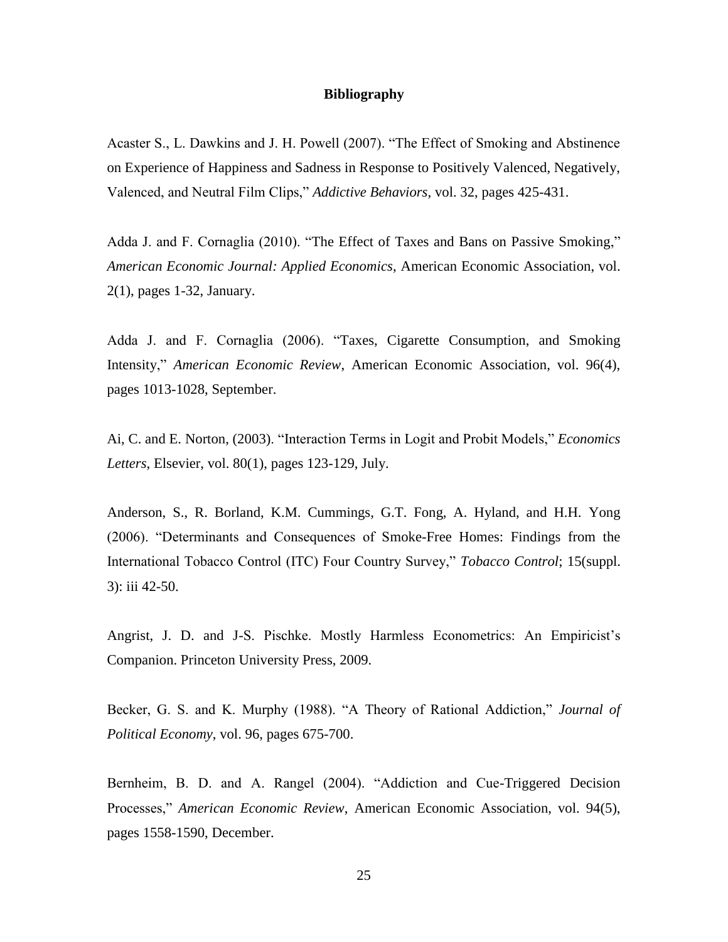#### **Bibliography**

Acaster S., L. Dawkins and J. H. Powell (2007). "The Effect of Smoking and Abstinence on Experience of Happiness and Sadness in Response to Positively Valenced, Negatively, Valenced, and Neutral Film Clips," *Addictive Behaviors*, vol. 32, pages 425-431.

Adda J. and F. Cornaglia (2010). ["The Effect of Taxes and Bans on Passive Smoking,](http://ideas.repec.org/p/iza/izadps/dp2191.html)" *[American Economic Journal: Applied Economics](http://ideas.repec.org/s/aea/aejapp.html)*, American Economic Association, vol. 2(1), pages 1-32, January.

Adda J. and F. Cornaglia (2006). ["Taxes, Cigarette Consumption, and Smoking](http://ideas.repec.org/a/aea/aecrev/v96y2006i4p1013-1028.html)  [Intensity,](http://ideas.repec.org/a/aea/aecrev/v96y2006i4p1013-1028.html)" *[American Economic Review](http://ideas.repec.org/s/aea/aecrev.html)*, American Economic Association, vol. 96(4), pages 1013-1028, September.

Ai, C. and E. Norton, (2003). "Interaction Terms in Logit and Probit Models," *Economics Letters*, Elsevier, vol. 80(1), pages 123-129, July.

Anderson, S., R. Borland, K.M. Cummings, G.T. Fong, A. Hyland, and H.H. Yong (2006). "Determinants and Consequences of Smoke-Free Homes: Findings from the International Tobacco Control (ITC) Four Country Survey," *Tobacco Control*; 15(suppl. 3): iii 42-50.

Angrist, J. D. and J-S. Pischke. Mostly Harmless Econometrics: An Empiricist's Companion. Princeton University Press, 2009.

Becker, G. S. and K. Murphy (1988). "A Theory of Rational Addiction," *Journal of Political Economy*, vol. 96, pages 675-700.

Bernheim, B. D. and A. Rangel (2004). "Addiction and Cue-Triggered Decision Processes," *[American Economic Review](http://ideas.repec.org/s/aea/aecrev.html)*, American Economic Association, vol. 94(5), pages 1558-1590, December.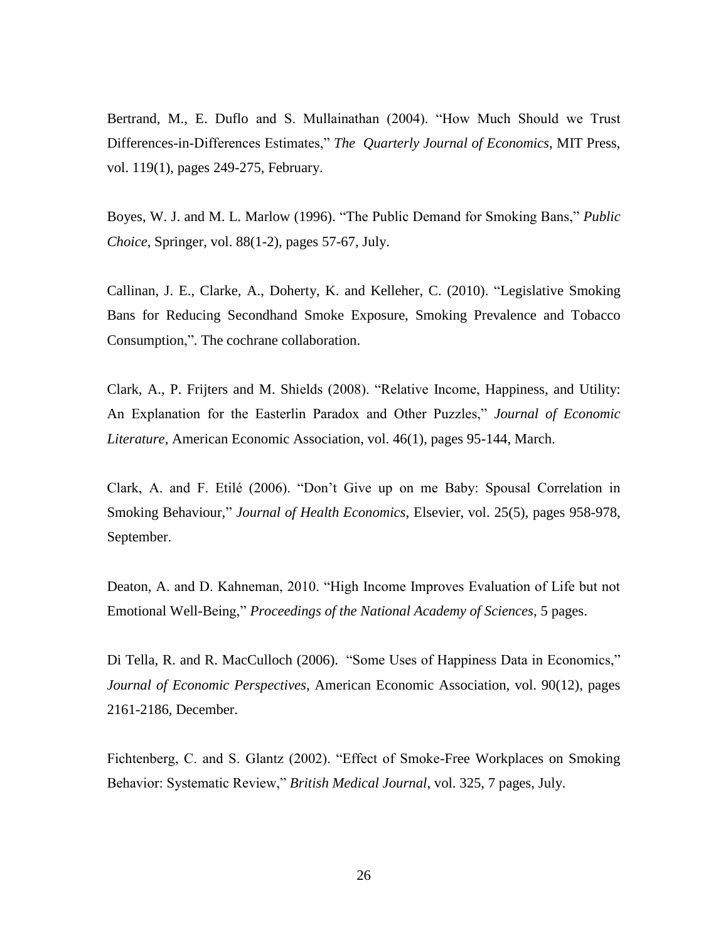Bertrand, M., E. Duflo and S. Mullainathan (2004). "How Much Should we Trust Differences-in-Differences Estimates," *The Quarterly Journal of Economics*, MIT Press, vol. 119(1), pages 249-275, February.

Boyes, W. J. and M. L. Marlow (1996). ["The Public Demand for Smoking Bans,](http://ideas.repec.org/a/kap/pubcho/v88y1996i1-2p57-67.html)" *[Public](http://ideas.repec.org/s/kap/pubcho.html)  [Choice](http://ideas.repec.org/s/kap/pubcho.html)*, Springer, vol. 88(1-2), pages 57-67, July.

Callinan, J. E., Clarke, A., Doherty, K. and Kelleher, C. (2010). "Legislative Smoking Bans for Reducing Secondhand Smoke Exposure, Smoking Prevalence and Tobacco Consumption,". The cochrane collaboration.

Clark, A., P. Frijters and M. Shields (2008). "Relative Income, Happiness, and Utility: An Explanation for the Easterlin Paradox and Other Puzzles," *Journal of Economic Literature*, American Economic Association, vol. 46(1), pages 95-144, March.

Clark, A. and F. Etilé (2006). "Don't Give up on me Baby: Spousal Correlation in Smoking Behaviour," *Journal of Health Economics*, Elsevier, vol. 25(5), pages 958-978, September.

Deaton, A. and D. Kahneman, 2010. "High Income Improves Evaluation of Life but not Emotional Well-Being," *Proceedings of the National Academy of Sciences*, 5 pages.

Di Tella, R. and R. MacCulloch (2006). ["S](http://ideas.repec.org/a/kap/pubcho/v88y1996i1-2p57-67.html)ome Uses of Happiness Data in Economics," *[Journal of Economic Perspectives](http://ideas.repec.org/s/kap/pubcho.html)*, American Economic Association, vol. 90(12), pages 2161-2186, December.

Fichtenberg, C. and S. Glantz (2002). "Effect of Smoke-Free Workplaces on Smoking Behavior: Systematic Review," *British Medical Journal*, vol. 325, 7 pages, July.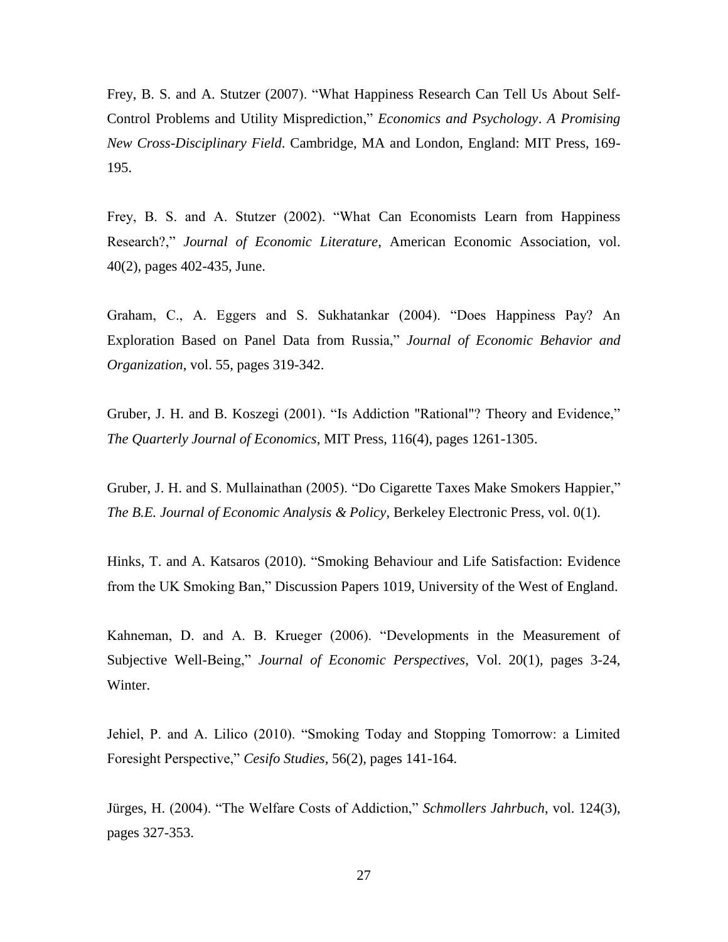Frey, B. S. and A. Stutzer (2007). "What Happiness Research Can Tell Us About Self-Control Problems and Utility Misprediction," *Economics and Psychology*. *A Promising New Cross-Disciplinary Field*. Cambridge, MA and London, England: MIT Press, 169- 195.

Frey, B. S. and A. Stutzer (2002). "What Can Economists Learn from Happiness Research?," *Journal of Economic Literature*, American Economic Association, vol. 40(2), pages 402-435, June.

Graham, C., A. Eggers and S. Sukhatankar (2004). "Does Happiness Pay? An Exploration Based on Panel Data from Russia," *Journal of Economic Behavior and Organization*, vol. 55, pages 319-342.

Gruber, J. H. and B. Koszegi (2001). "Is Addiction "Rational"? Theory and Evidence," *The Quarterly Journal of Economics*, MIT Press, 116(4), pages 1261-1305.

Gruber, J. H. and S. Mullainathan (2005). ["Do Cigarette Taxes Make Smokers Happier,](http://ideas.repec.org/a/bpj/bejeap/vadvances.5y2005i1n4.html)" *[The B.E. Journal of Economic Analysis & Policy](http://ideas.repec.org/s/bpj/bejeap.html)*, Berkeley Electronic Press, vol. 0(1).

Hinks, T. and A. Katsaros (2010). "Smoking Behaviour and Life Satisfaction: Evidence from the UK Smoking Ban," Discussion Papers 1019, University of the West of England.

Kahneman, D. and A. B. Krueger (2006). "Developments in the Measurement of Subjective Well-Being," *Journal of Economic Perspectives*, Vol. 20(1), pages 3-24, Winter.

Jehiel, P. and A. Lilico (2010). "Smoking Today and Stopping Tomorrow: a Limited Foresight Perspective," *Cesifo Studies*, 56(2), pages 141-164.

Jürges, H. (2004). "The Welfare Costs of Addiction," *Schmollers Jahrbuch*, vol. 124(3), pages 327-353.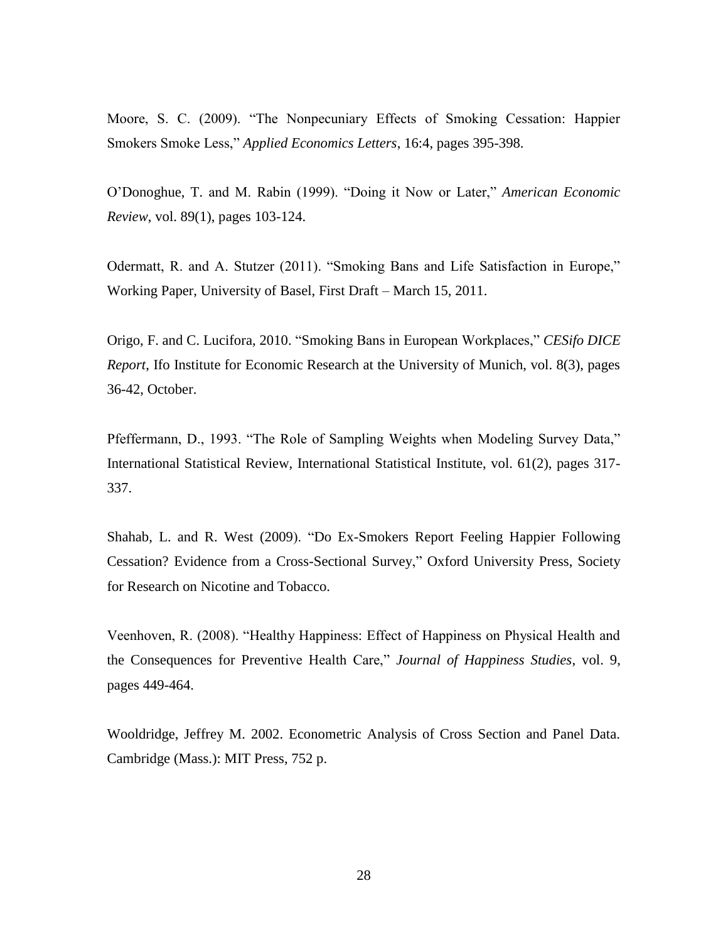Moore, S. C. (2009). "The Nonpecuniary Effects of Smoking Cessation: Happier Smokers Smoke Less," *Applied Economics Letters*, 16:4, pages 395-398.

O'Donoghue, T. and M. Rabin (1999). "Doing it Now or Later," *American Economic Review*, vol. 89(1), pages 103-124.

Odermatt, R. and A. Stutzer (2011). "Smoking Bans and Life Satisfaction in Europe," Working Paper, University of Basel, First Draft – March 15, 2011.

Origo, F. and C. Lucifora, 2010. "Smoking Bans in European Workplaces," *CESifo DICE Report*, Ifo Institute for Economic Research at the University of Munich, vol. 8(3), pages 36-42, October.

Pfeffermann, D., 1993. "The Role of Sampling Weights when Modeling Survey Data," International Statistical Review, International Statistical Institute, vol. 61(2), pages 317- 337.

Shahab, L. and R. West (2009). ["Do Ex-Smokers Report Feeling Happier Following](http://ntr.oxfordjournals.org/cgi/content/abstract/ntp031)  [Cessation? Evidence from a Cross-Sectional Survey,](http://ntr.oxfordjournals.org/cgi/content/abstract/ntp031)" Oxford University Press, Society for Research on Nicotine and Tobacco.

Veenhoven, R. (2008). "Healthy Happiness: Effect of Happiness on Physical Health and the Consequences for Preventive Health Care," *Journal of Happiness Studies*, vol. 9, pages 449-464.

Wooldridge, Jeffrey M. 2002. Econometric Analysis of Cross Section and Panel Data. Cambridge (Mass.): MIT Press, 752 p.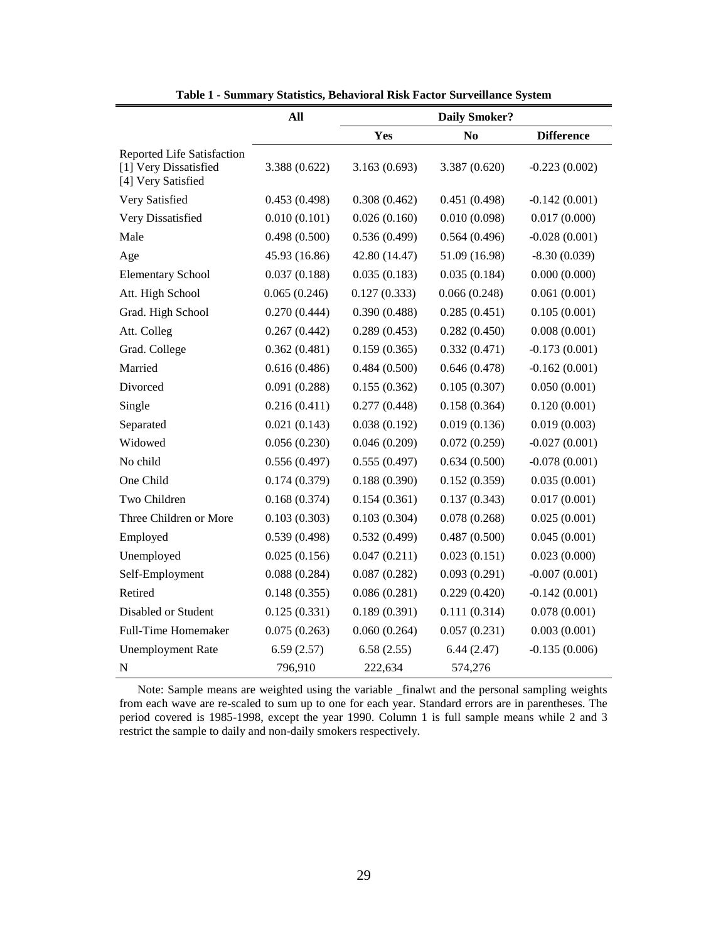|                                                                           | All           |               | <b>Daily Smoker?</b> |                   |
|---------------------------------------------------------------------------|---------------|---------------|----------------------|-------------------|
|                                                                           |               | Yes           | N <sub>0</sub>       | <b>Difference</b> |
| Reported Life Satisfaction<br>[1] Very Dissatisfied<br>[4] Very Satisfied | 3.388 (0.622) | 3.163(0.693)  | 3.387 (0.620)        | $-0.223(0.002)$   |
| Very Satisfied                                                            | 0.453(0.498)  | 0.308(0.462)  | 0.451(0.498)         | $-0.142(0.001)$   |
| Very Dissatisfied                                                         | 0.010(0.101)  | 0.026(0.160)  | 0.010(0.098)         | 0.017(0.000)      |
| Male                                                                      | 0.498(0.500)  | 0.536(0.499)  | 0.564(0.496)         | $-0.028(0.001)$   |
| Age                                                                       | 45.93 (16.86) | 42.80 (14.47) | 51.09 (16.98)        | $-8.30(0.039)$    |
| <b>Elementary School</b>                                                  | 0.037(0.188)  | 0.035(0.183)  | 0.035(0.184)         | 0.000(0.000)      |
| Att. High School                                                          | 0.065(0.246)  | 0.127(0.333)  | 0.066(0.248)         | 0.061(0.001)      |
| Grad. High School                                                         | 0.270(0.444)  | 0.390(0.488)  | 0.285(0.451)         | 0.105(0.001)      |
| Att. Colleg                                                               | 0.267(0.442)  | 0.289(0.453)  | 0.282(0.450)         | 0.008(0.001)      |
| Grad. College                                                             | 0.362(0.481)  | 0.159(0.365)  | 0.332(0.471)         | $-0.173(0.001)$   |
| Married                                                                   | 0.616(0.486)  | 0.484(0.500)  | 0.646(0.478)         | $-0.162(0.001)$   |
| Divorced                                                                  | 0.091(0.288)  | 0.155(0.362)  | 0.105(0.307)         | 0.050(0.001)      |
| Single                                                                    | 0.216(0.411)  | 0.277(0.448)  | 0.158(0.364)         | 0.120(0.001)      |
| Separated                                                                 | 0.021(0.143)  | 0.038(0.192)  | 0.019(0.136)         | 0.019(0.003)      |
| Widowed                                                                   | 0.056(0.230)  | 0.046(0.209)  | 0.072(0.259)         | $-0.027(0.001)$   |
| No child                                                                  | 0.556(0.497)  | 0.555(0.497)  | 0.634(0.500)         | $-0.078(0.001)$   |
| One Child                                                                 | 0.174(0.379)  | 0.188(0.390)  | 0.152(0.359)         | 0.035(0.001)      |
| Two Children                                                              | 0.168(0.374)  | 0.154(0.361)  | 0.137(0.343)         | 0.017(0.001)      |
| Three Children or More                                                    | 0.103(0.303)  | 0.103(0.304)  | 0.078(0.268)         | 0.025(0.001)      |
| Employed                                                                  | 0.539(0.498)  | 0.532(0.499)  | 0.487(0.500)         | 0.045(0.001)      |
| Unemployed                                                                | 0.025(0.156)  | 0.047(0.211)  | 0.023(0.151)         | 0.023(0.000)      |
| Self-Employment                                                           | 0.088(0.284)  | 0.087(0.282)  | 0.093(0.291)         | $-0.007(0.001)$   |
| Retired                                                                   | 0.148(0.355)  | 0.086(0.281)  | 0.229(0.420)         | $-0.142(0.001)$   |
| Disabled or Student                                                       | 0.125(0.331)  | 0.189(0.391)  | 0.111(0.314)         | 0.078(0.001)      |
| <b>Full-Time Homemaker</b>                                                | 0.075(0.263)  | 0.060(0.264)  | 0.057(0.231)         | 0.003(0.001)      |
| <b>Unemployment Rate</b>                                                  | 6.59(2.57)    | 6.58(2.55)    | 6.44(2.47)           | $-0.135(0.006)$   |
| N                                                                         | 796,910       | 222,634       | 574,276              |                   |

**Table 1 - Summary Statistics, Behavioral Risk Factor Surveillance System**

 Note: Sample means are weighted using the variable \_finalwt and the personal sampling weights from each wave are re-scaled to sum up to one for each year. Standard errors are in parentheses. The period covered is 1985-1998, except the year 1990. Column 1 is full sample means while 2 and 3 restrict the sample to daily and non-daily smokers respectively.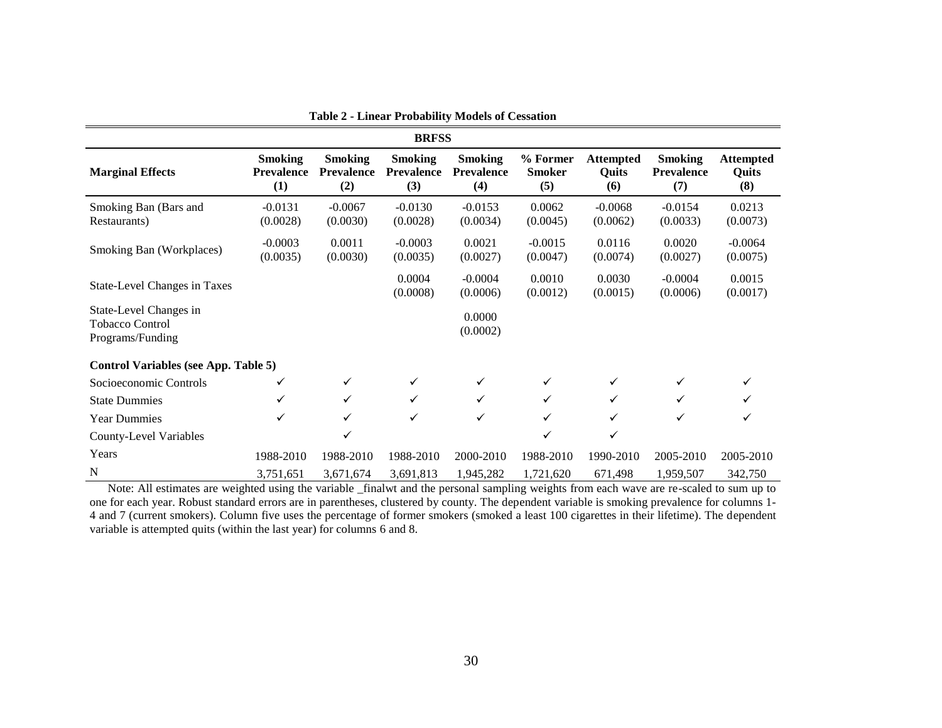|                                                                      |                                            |                                            | <b>BRFSS</b>                               |                                            |                                  |                                  |                                            |                                  |
|----------------------------------------------------------------------|--------------------------------------------|--------------------------------------------|--------------------------------------------|--------------------------------------------|----------------------------------|----------------------------------|--------------------------------------------|----------------------------------|
| <b>Marginal Effects</b>                                              | <b>Smoking</b><br><b>Prevalence</b><br>(1) | <b>Smoking</b><br><b>Prevalence</b><br>(2) | <b>Smoking</b><br><b>Prevalence</b><br>(3) | <b>Smoking</b><br><b>Prevalence</b><br>(4) | % Former<br><b>Smoker</b><br>(5) | <b>Attempted</b><br>Quits<br>(6) | <b>Smoking</b><br><b>Prevalence</b><br>(7) | <b>Attempted</b><br>Quits<br>(8) |
| Smoking Ban (Bars and<br>Restaurants)                                | $-0.0131$<br>(0.0028)                      | $-0.0067$<br>(0.0030)                      | $-0.0130$<br>(0.0028)                      | $-0.0153$<br>(0.0034)                      | 0.0062<br>(0.0045)               | $-0.0068$<br>(0.0062)            | $-0.0154$<br>(0.0033)                      | 0.0213<br>(0.0073)               |
| Smoking Ban (Workplaces)                                             | $-0.0003$<br>(0.0035)                      | 0.0011<br>(0.0030)                         | $-0.0003$<br>(0.0035)                      | 0.0021<br>(0.0027)                         | $-0.0015$<br>(0.0047)            | 0.0116<br>(0.0074)               | 0.0020<br>(0.0027)                         | $-0.0064$<br>(0.0075)            |
| State-Level Changes in Taxes                                         |                                            |                                            | 0.0004<br>(0.0008)                         | $-0.0004$<br>(0.0006)                      | 0.0010<br>(0.0012)               | 0.0030<br>(0.0015)               | $-0.0004$<br>(0.0006)                      | 0.0015<br>(0.0017)               |
| State-Level Changes in<br><b>Tobacco Control</b><br>Programs/Funding |                                            |                                            |                                            | 0.0000<br>(0.0002)                         |                                  |                                  |                                            |                                  |
| <b>Control Variables (see App. Table 5)</b>                          |                                            |                                            |                                            |                                            |                                  |                                  |                                            |                                  |
| Socioeconomic Controls                                               | ✓                                          |                                            |                                            | ✓                                          |                                  | ✓                                |                                            | ✓                                |
| <b>State Dummies</b>                                                 | ✓                                          |                                            | ✓                                          | $\checkmark$                               | ✓                                | ✓                                | ✓                                          |                                  |
| <b>Year Dummies</b>                                                  | ✓                                          |                                            | ✓                                          | $\checkmark$                               | ✓                                | ✓                                | ✓                                          |                                  |
| <b>County-Level Variables</b>                                        |                                            |                                            |                                            |                                            | ✓                                | ✓                                |                                            |                                  |
| Years                                                                | 1988-2010                                  | 1988-2010                                  | 1988-2010                                  | 2000-2010                                  | 1988-2010                        | 1990-2010                        | 2005-2010                                  | 2005-2010                        |
| N                                                                    | 3,751,651                                  | 3,671,674                                  | 3,691,813                                  | 1,945,282                                  | 1,721,620                        | 671,498                          | 1,959,507                                  | 342,750                          |

**Table 2 - Linear Probability Models of Cessation**

 Note: All estimates are weighted using the variable \_finalwt and the personal sampling weights from each wave are re-scaled to sum up to one for each year. Robust standard errors are in parentheses, clustered by county. The dependent variable is smoking prevalence for columns 1- 4 and 7 (current smokers). Column five uses the percentage of former smokers (smoked a least 100 cigarettes in their lifetime). The dependent variable is attempted quits (within the last year) for columns 6 and 8.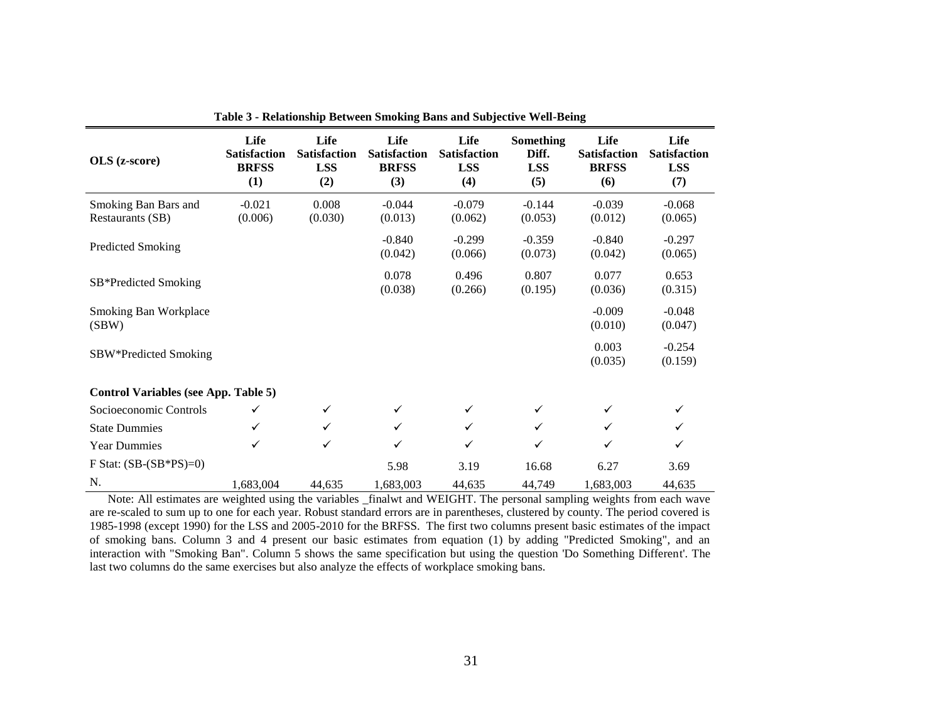| OLS (z-score)                               | Life<br><b>Satisfaction</b><br><b>BRFSS</b><br>(1) | Life<br><b>Satisfaction</b><br><b>LSS</b><br>(2) | Life<br><b>Satisfaction</b><br><b>BRFSS</b><br>(3) | Life<br><b>Satisfaction</b><br><b>LSS</b><br>(4) | <b>Something</b><br>Diff.<br><b>LSS</b><br>(5) | Life<br><b>Satisfaction</b><br><b>BRFSS</b><br>(6) | Life<br><b>Satisfaction</b><br><b>LSS</b><br>(7) |
|---------------------------------------------|----------------------------------------------------|--------------------------------------------------|----------------------------------------------------|--------------------------------------------------|------------------------------------------------|----------------------------------------------------|--------------------------------------------------|
| Smoking Ban Bars and<br>Restaurants (SB)    | $-0.021$<br>(0.006)                                | 0.008<br>(0.030)                                 | $-0.044$<br>(0.013)                                | $-0.079$<br>(0.062)                              | $-0.144$<br>(0.053)                            | $-0.039$<br>(0.012)                                | $-0.068$<br>(0.065)                              |
| <b>Predicted Smoking</b>                    |                                                    |                                                  | $-0.840$<br>(0.042)                                | $-0.299$<br>(0.066)                              | $-0.359$<br>(0.073)                            | $-0.840$<br>(0.042)                                | $-0.297$<br>(0.065)                              |
| SB*Predicted Smoking                        |                                                    |                                                  | 0.078<br>(0.038)                                   | 0.496<br>(0.266)                                 | 0.807<br>(0.195)                               | 0.077<br>(0.036)                                   | 0.653<br>(0.315)                                 |
| Smoking Ban Workplace<br>(SBW)              |                                                    |                                                  |                                                    |                                                  |                                                | $-0.009$<br>(0.010)                                | $-0.048$<br>(0.047)                              |
| SBW*Predicted Smoking                       |                                                    |                                                  |                                                    |                                                  |                                                | 0.003<br>(0.035)                                   | $-0.254$<br>(0.159)                              |
| <b>Control Variables (see App. Table 5)</b> |                                                    |                                                  |                                                    |                                                  |                                                |                                                    |                                                  |
| Socioeconomic Controls                      | $\checkmark$                                       | $\checkmark$                                     | ✓                                                  | ✓                                                | ✓                                              | ✓                                                  | ✓                                                |
| <b>State Dummies</b>                        | $\checkmark$                                       | $\checkmark$                                     | ✓                                                  | ✓                                                | ✓                                              | ✓                                                  | ✓                                                |
| <b>Year Dummies</b>                         | ✓                                                  | $\checkmark$                                     | ✓                                                  | ✓                                                | ✓                                              | ✓                                                  | ✓                                                |
| F Stat: $(SB-(SB*PS)=0)$                    |                                                    |                                                  | 5.98                                               | 3.19                                             | 16.68                                          | 6.27                                               | 3.69                                             |
| N.                                          | 1,683,004                                          | 44,635                                           | 1,683,003                                          | 44,635                                           | 44,749                                         | 1,683,003                                          | 44,635                                           |

**Table 3 - Relationship Between Smoking Bans and Subjective Well-Being**

 Note: All estimates are weighted using the variables \_finalwt and WEIGHT. The personal sampling weights from each wave are re-scaled to sum up to one for each year. Robust standard errors are in parentheses, clustered by county. The period covered is 1985-1998 (except 1990) for the LSS and 2005-2010 for the BRFSS. The first two columns present basic estimates of the impact of smoking bans. Column 3 and 4 present our basic estimates from equation (1) by adding "Predicted Smoking", and an interaction with "Smoking Ban". Column 5 shows the same specification but using the question 'Do Something Different'. The last two columns do the same exercises but also analyze the effects of workplace smoking bans.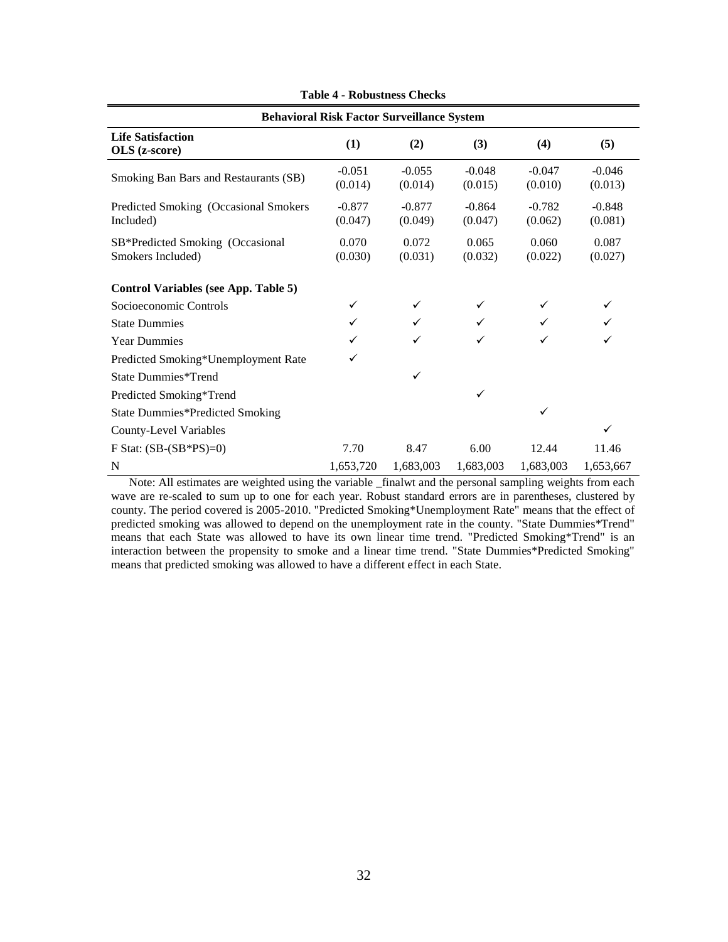|                                                       | <b>Behavioral Risk Factor Surveillance System</b> |                     |                     |                     |                     |
|-------------------------------------------------------|---------------------------------------------------|---------------------|---------------------|---------------------|---------------------|
| <b>Life Satisfaction</b><br>OLS (z-score)             | (1)                                               | (2)                 | (3)                 | (4)                 | (5)                 |
| Smoking Ban Bars and Restaurants (SB)                 | $-0.051$<br>(0.014)                               | $-0.055$<br>(0.014) | $-0.048$<br>(0.015) | $-0.047$<br>(0.010) | $-0.046$<br>(0.013) |
| Predicted Smoking (Occasional Smokers<br>Included)    | $-0.877$<br>(0.047)                               | $-0.877$<br>(0.049) | $-0.864$<br>(0.047) | $-0.782$<br>(0.062) | $-0.848$<br>(0.081) |
| SB*Predicted Smoking (Occasional<br>Smokers Included) | 0.070<br>(0.030)                                  | 0.072<br>(0.031)    | 0.065<br>(0.032)    | 0.060<br>(0.022)    | 0.087<br>(0.027)    |
| Control Variables (see App. Table 5)                  |                                                   |                     |                     |                     |                     |
| Socioeconomic Controls                                | ✓                                                 | ✓                   | ✓                   |                     | ✓                   |
| <b>State Dummies</b>                                  |                                                   |                     |                     |                     |                     |
| <b>Year Dummies</b>                                   | ✓                                                 | ✓                   | ✓                   | ✓                   |                     |
| Predicted Smoking*Unemployment Rate                   | ✓                                                 |                     |                     |                     |                     |
| State Dummies*Trend                                   |                                                   | ✓                   |                     |                     |                     |
| Predicted Smoking*Trend                               |                                                   |                     | ✓                   |                     |                     |
| <b>State Dummies*Predicted Smoking</b>                |                                                   |                     |                     | ✓                   |                     |
| County-Level Variables                                |                                                   |                     |                     |                     | ✓                   |
| F Stat: $(SB-(SB*PS)=0)$                              | 7.70                                              | 8.47                | 6.00                | 12.44               | 11.46               |
| N                                                     | 1,653,720                                         | 1,683,003           | 1,683,003           | 1,683,003           | 1,653,667           |

**Table 4 - Robustness Checks**

 Note: All estimates are weighted using the variable \_finalwt and the personal sampling weights from each wave are re-scaled to sum up to one for each year. Robust standard errors are in parentheses, clustered by county. The period covered is 2005-2010. "Predicted Smoking\*Unemployment Rate" means that the effect of predicted smoking was allowed to depend on the unemployment rate in the county. "State Dummies\*Trend" means that each State was allowed to have its own linear time trend. "Predicted Smoking\*Trend" is an interaction between the propensity to smoke and a linear time trend. "State Dummies\*Predicted Smoking" means that predicted smoking was allowed to have a different effect in each State.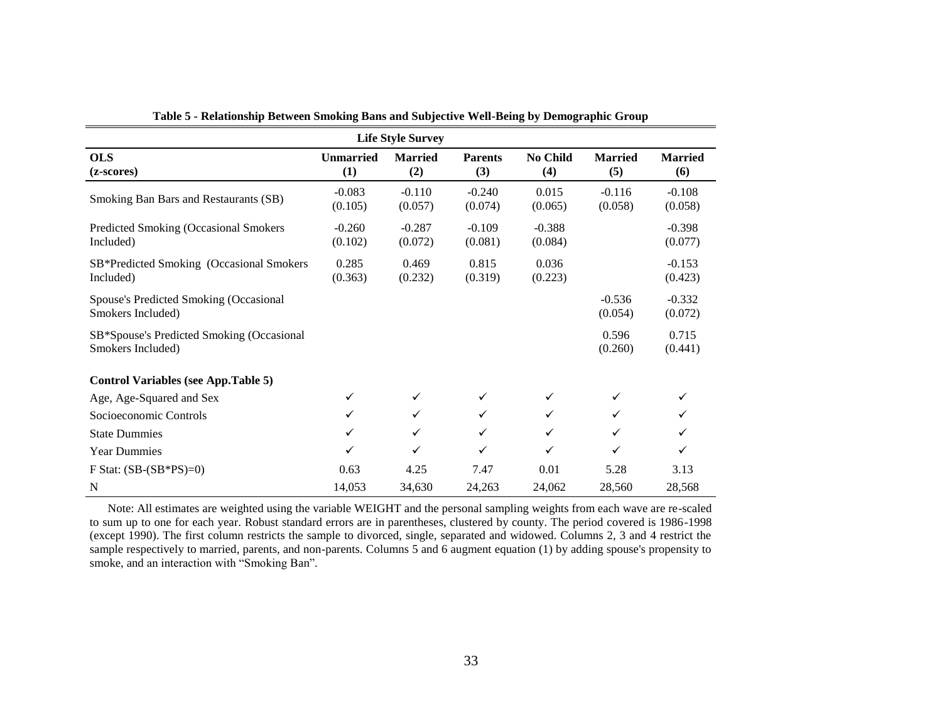|                                                                |                         | <b>Life Style Survey</b> |                       |                     |                       |                       |
|----------------------------------------------------------------|-------------------------|--------------------------|-----------------------|---------------------|-----------------------|-----------------------|
| <b>OLS</b><br>(z-scores)                                       | <b>Unmarried</b><br>(1) | <b>Married</b><br>(2)    | <b>Parents</b><br>(3) | No Child<br>(4)     | <b>Married</b><br>(5) | <b>Married</b><br>(6) |
| Smoking Ban Bars and Restaurants (SB)                          | $-0.083$<br>(0.105)     | $-0.110$<br>(0.057)      | $-0.240$<br>(0.074)   | 0.015<br>(0.065)    | $-0.116$<br>(0.058)   | $-0.108$<br>(0.058)   |
| Predicted Smoking (Occasional Smokers<br>Included)             | $-0.260$<br>(0.102)     | $-0.287$<br>(0.072)      | $-0.109$<br>(0.081)   | $-0.388$<br>(0.084) |                       | $-0.398$<br>(0.077)   |
| SB*Predicted Smoking (Occasional Smokers<br>Included)          | 0.285<br>(0.363)        | 0.469<br>(0.232)         | 0.815<br>(0.319)      | 0.036<br>(0.223)    |                       | $-0.153$<br>(0.423)   |
| Spouse's Predicted Smoking (Occasional<br>Smokers Included)    |                         |                          |                       |                     | $-0.536$<br>(0.054)   | $-0.332$<br>(0.072)   |
| SB*Spouse's Predicted Smoking (Occasional<br>Smokers Included) |                         |                          |                       |                     | 0.596<br>(0.260)      | 0.715<br>(0.441)      |
| <b>Control Variables (see App.Table 5)</b>                     |                         |                          |                       |                     |                       |                       |
| Age, Age-Squared and Sex                                       | ✓                       | $\checkmark$             | $\checkmark$          | $\checkmark$        | $\checkmark$          |                       |
| Socioeconomic Controls                                         | ✓                       | $\checkmark$             | ✓                     | ✓                   | $\checkmark$          |                       |
| <b>State Dummies</b>                                           | ✓                       | $\checkmark$             | ✓                     | $\checkmark$        | $\checkmark$          | ✓                     |
| <b>Year Dummies</b>                                            | ✓                       | $\checkmark$             | $\checkmark$          | $\checkmark$        | $\checkmark$          | ✓                     |
| F Stat: $(SB-(SB*PS)=0)$                                       | 0.63                    | 4.25                     | 7.47                  | 0.01                | 5.28                  | 3.13                  |
| N                                                              | 14,053                  | 34,630                   | 24,263                | 24,062              | 28,560                | 28,568                |

**Table 5 - Relationship Between Smoking Bans and Subjective Well-Being by Demographic Group**

 Note: All estimates are weighted using the variable WEIGHT and the personal sampling weights from each wave are re-scaled to sum up to one for each year. Robust standard errors are in parentheses, clustered by county. The period covered is 1986-1998 (except 1990). The first column restricts the sample to divorced, single, separated and widowed. Columns 2, 3 and 4 restrict the sample respectively to married, parents, and non-parents. Columns 5 and 6 augment equation (1) by adding spouse's propensity to smoke, and an interaction with "Smoking Ban".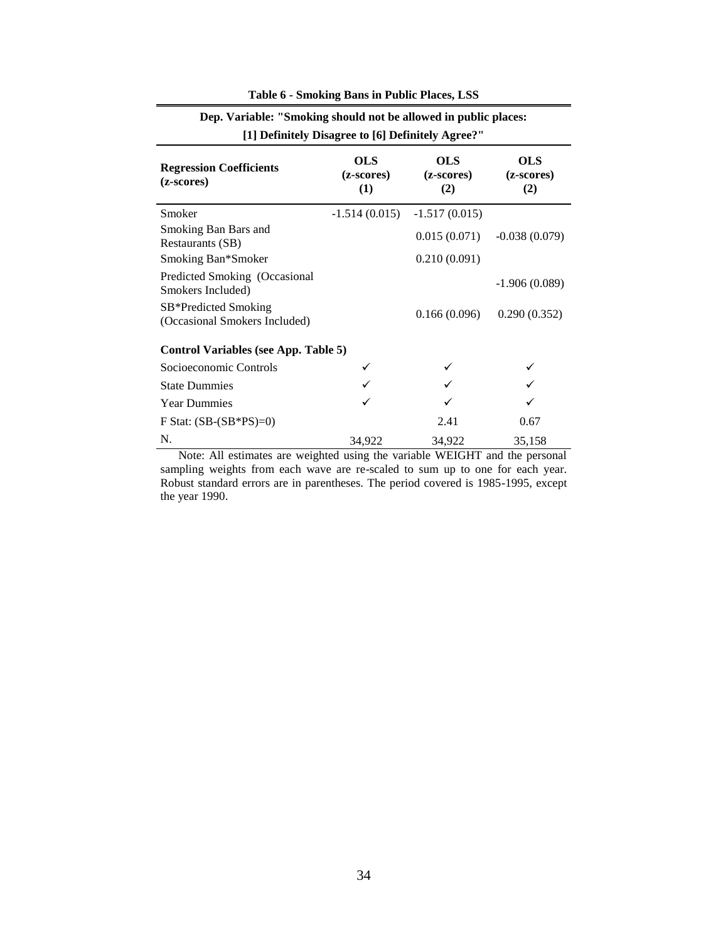|                                                       | [1] Definitely Disagree to [6] Definitely Agree?" |                                 |                          |
|-------------------------------------------------------|---------------------------------------------------|---------------------------------|--------------------------|
| <b>Regression Coefficients</b><br>(z-scores)          | <b>OLS</b><br>(z-scores)<br>(1)                   | <b>OLS</b><br>(z-scores)<br>(2) | OLS<br>(z-scores)<br>(2) |
| Smoker                                                |                                                   | $-1.514(0.015) -1.517(0.015)$   |                          |
| Smoking Ban Bars and<br>Restaurants (SB)              |                                                   | 0.015(0.071)                    | $-0.038(0.079)$          |
| Smoking Ban*Smoker                                    |                                                   | 0.210(0.091)                    |                          |
| Predicted Smoking (Occasional<br>Smokers Included)    |                                                   |                                 | $-1.906(0.089)$          |
| SB*Predicted Smoking<br>(Occasional Smokers Included) |                                                   | 0.166(0.096)                    | 0.290(0.352)             |
| <b>Control Variables (see App. Table 5)</b>           |                                                   |                                 |                          |
| Socioeconomic Controls                                |                                                   |                                 |                          |
| <b>State Dummies</b>                                  |                                                   |                                 |                          |
| <b>Year Dummies</b>                                   |                                                   |                                 |                          |
| F Stat: $(SB-(SB*PS)=0)$                              |                                                   | 2.41                            | 0.67                     |
| N.                                                    | 34,922                                            | 34,922                          | 35,158                   |

#### **Table 6 - Smoking Bans in Public Places, LSS**

**Dep. Variable: "Smoking should not be allowed in public places:** 

 Note: All estimates are weighted using the variable WEIGHT and the personal sampling weights from each wave are re-scaled to sum up to one for each year. Robust standard errors are in parentheses. The period covered is 1985-1995, except the year 1990.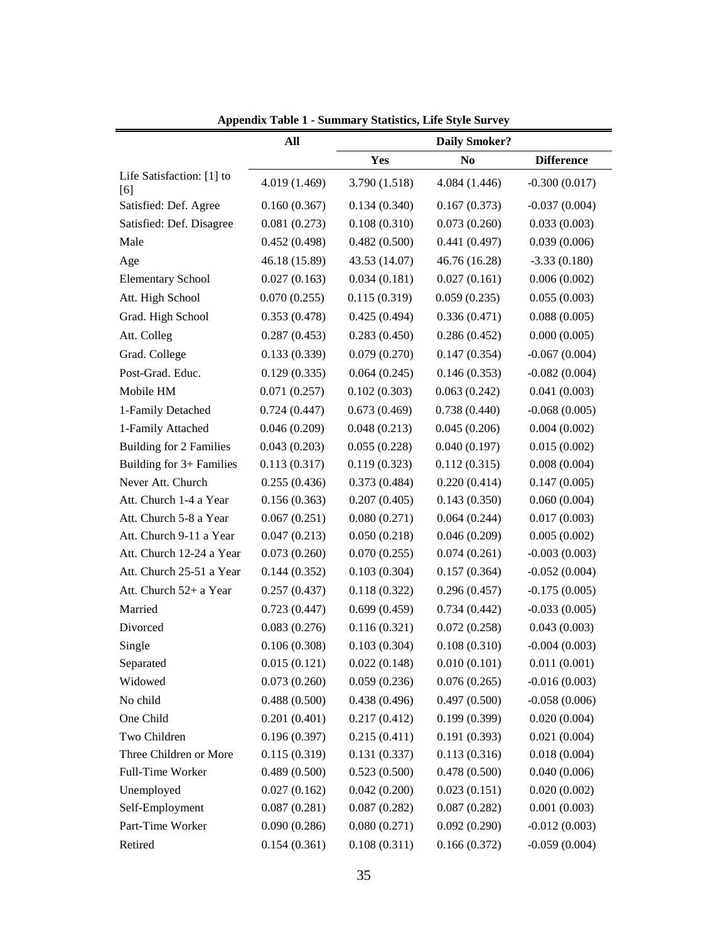|                                  | All           |               | <b>Daily Smoker?</b> |                   |
|----------------------------------|---------------|---------------|----------------------|-------------------|
|                                  |               | Yes           | N <sub>0</sub>       | <b>Difference</b> |
| Life Satisfaction: [1] to<br>[6] | 4.019 (1.469) | 3.790 (1.518) | 4.084 (1.446)        | $-0.300(0.017)$   |
| Satisfied: Def. Agree            | 0.160(0.367)  | 0.134(0.340)  | 0.167(0.373)         | $-0.037(0.004)$   |
| Satisfied: Def. Disagree         | 0.081(0.273)  | 0.108(0.310)  | 0.073(0.260)         | 0.033(0.003)      |
| Male                             | 0.452(0.498)  | 0.482(0.500)  | 0.441(0.497)         | 0.039(0.006)      |
| Age                              | 46.18 (15.89) | 43.53 (14.07) | 46.76 (16.28)        | $-3.33(0.180)$    |
| <b>Elementary School</b>         | 0.027(0.163)  | 0.034(0.181)  | 0.027(0.161)         | 0.006(0.002)      |
| Att. High School                 | 0.070(0.255)  | 0.115(0.319)  | 0.059(0.235)         | 0.055(0.003)      |
| Grad. High School                | 0.353(0.478)  | 0.425(0.494)  | 0.336(0.471)         | 0.088(0.005)      |
| Att. Colleg                      | 0.287(0.453)  | 0.283(0.450)  | 0.286(0.452)         | 0.000(0.005)      |
| Grad. College                    | 0.133(0.339)  | 0.079(0.270)  | 0.147(0.354)         | $-0.067(0.004)$   |
| Post-Grad. Educ.                 | 0.129(0.335)  | 0.064(0.245)  | 0.146(0.353)         | $-0.082(0.004)$   |
| Mobile HM                        | 0.071(0.257)  | 0.102(0.303)  | 0.063(0.242)         | 0.041(0.003)      |
| 1-Family Detached                | 0.724(0.447)  | 0.673(0.469)  | 0.738(0.440)         | $-0.068(0.005)$   |
| 1-Family Attached                | 0.046(0.209)  | 0.048(0.213)  | 0.045(0.206)         | 0.004(0.002)      |
| <b>Building for 2 Families</b>   | 0.043(0.203)  | 0.055(0.228)  | 0.040(0.197)         | 0.015(0.002)      |
| Building for 3+ Families         | 0.113(0.317)  | 0.119(0.323)  | 0.112(0.315)         | 0.008(0.004)      |
| Never Att. Church                | 0.255(0.436)  | 0.373(0.484)  | 0.220(0.414)         | 0.147(0.005)      |
| Att. Church 1-4 a Year           | 0.156(0.363)  | 0.207(0.405)  | 0.143(0.350)         | 0.060(0.004)      |
| Att. Church 5-8 a Year           | 0.067(0.251)  | 0.080(0.271)  | 0.064(0.244)         | 0.017(0.003)      |
| Att. Church 9-11 a Year          | 0.047(0.213)  | 0.050(0.218)  | 0.046(0.209)         | 0.005(0.002)      |
| Att. Church 12-24 a Year         | 0.073(0.260)  | 0.070(0.255)  | 0.074(0.261)         | $-0.003(0.003)$   |
| Att. Church 25-51 a Year         | 0.144(0.352)  | 0.103(0.304)  | 0.157(0.364)         | $-0.052(0.004)$   |
| Att. Church 52+ a Year           | 0.257(0.437)  | 0.118(0.322)  | 0.296(0.457)         | $-0.175(0.005)$   |
| Married                          | 0.723(0.447)  | 0.699(0.459)  | 0.734(0.442)         | $-0.033(0.005)$   |
| Divorced                         | 0.083(0.276)  | 0.116(0.321)  | 0.072(0.258)         | 0.043(0.003)      |
| Single                           | 0.106(0.308)  | 0.103(0.304)  | 0.108(0.310)         | $-0.004(0.003)$   |
| Separated                        | 0.015(0.121)  | 0.022(0.148)  | 0.010(0.101)         | 0.011(0.001)      |
| Widowed                          | 0.073(0.260)  | 0.059(0.236)  | 0.076(0.265)         | $-0.016(0.003)$   |
| No child                         | 0.488(0.500)  | 0.438(0.496)  | 0.497(0.500)         | $-0.058(0.006)$   |
| One Child                        | 0.201(0.401)  | 0.217(0.412)  | 0.199(0.399)         | 0.020(0.004)      |
| Two Children                     | 0.196(0.397)  | 0.215(0.411)  | 0.191(0.393)         | 0.021(0.004)      |
| Three Children or More           | 0.115(0.319)  | 0.131(0.337)  | 0.113(0.316)         | 0.018(0.004)      |
| Full-Time Worker                 | 0.489(0.500)  | 0.523(0.500)  | 0.478(0.500)         | 0.040(0.006)      |
| Unemployed                       | 0.027(0.162)  | 0.042(0.200)  | 0.023(0.151)         | 0.020(0.002)      |
| Self-Employment                  | 0.087(0.281)  | 0.087(0.282)  | 0.087(0.282)         | 0.001(0.003)      |
| Part-Time Worker                 | 0.090(0.286)  | 0.080(0.271)  | 0.092(0.290)         | $-0.012(0.003)$   |
| Retired                          | 0.154(0.361)  | 0.108(0.311)  | 0.166(0.372)         | $-0.059(0.004)$   |

**Appendix Table 1 - Summary Statistics, Life Style Survey**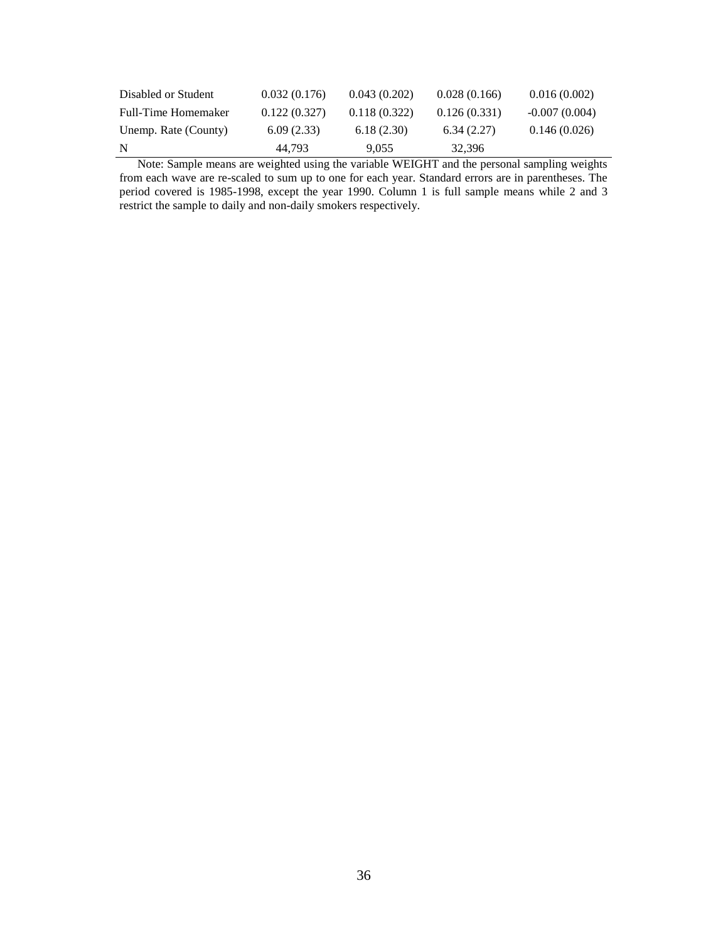| Disabled or Student  | 0.032(0.176) | 0.043(0.202) | 0.028(0.166) | 0.016(0.002)    |
|----------------------|--------------|--------------|--------------|-----------------|
| Full-Time Homemaker  | 0.122(0.327) | 0.118(0.322) | 0.126(0.331) | $-0.007(0.004)$ |
| Unemp. Rate (County) | 6.09(2.33)   | 6.18(2.30)   | 6.34(2.27)   | 0.146(0.026)    |
| N                    | 44.793       | 9.055        | 32.396       |                 |

 Note: Sample means are weighted using the variable WEIGHT and the personal sampling weights from each wave are re-scaled to sum up to one for each year. Standard errors are in parentheses. The period covered is 1985-1998, except the year 1990. Column 1 is full sample means while 2 and 3 restrict the sample to daily and non-daily smokers respectively.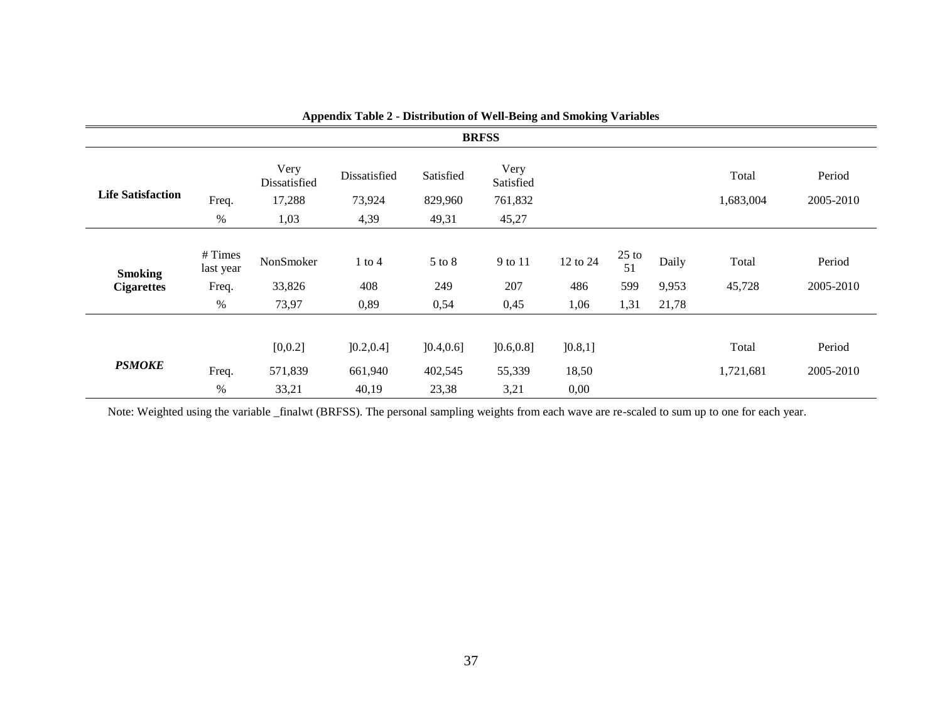|                                     | <b>BRFSS</b>                         |                                        |                                |                                |                                       |                          |                              |                         |                    |                     |  |
|-------------------------------------|--------------------------------------|----------------------------------------|--------------------------------|--------------------------------|---------------------------------------|--------------------------|------------------------------|-------------------------|--------------------|---------------------|--|
| <b>Life Satisfaction</b>            | Freq.<br>$\%$                        | Very<br>Dissatisfied<br>17,288<br>1,03 | Dissatisfied<br>73,924<br>4,39 | Satisfied<br>829,960<br>49,31  | Very<br>Satisfied<br>761,832<br>45,27 |                          |                              |                         | Total<br>1,683,004 | Period<br>2005-2010 |  |
| <b>Smoking</b><br><b>Cigarettes</b> | #Times<br>last year<br>Freq.<br>$\%$ | NonSmoker<br>33,826<br>73,97           | $1$ to $4$<br>408<br>0,89      | 5 to 8<br>249<br>0,54          | 9 to 11<br>207<br>0,45                | 12 to 24<br>486<br>1,06  | $25$ to<br>51<br>599<br>1,31 | Daily<br>9,953<br>21,78 | Total<br>45,728    | Period<br>2005-2010 |  |
| <b>PSMOKE</b>                       | Freq.<br>%                           | [0, 0.2]<br>571,839<br>33,21           | ]0.2, 0.4]<br>661,940<br>40,19 | ]0.4, 0.6]<br>402,545<br>23,38 | ]0.6, 0.8]<br>55,339<br>3,21          | ]0.8,1]<br>18,50<br>0,00 |                              |                         | Total<br>1,721,681 | Period<br>2005-2010 |  |

Note: Weighted using the variable \_finalwt (BRFSS). The personal sampling weights from each wave are re-scaled to sum up to one for each year.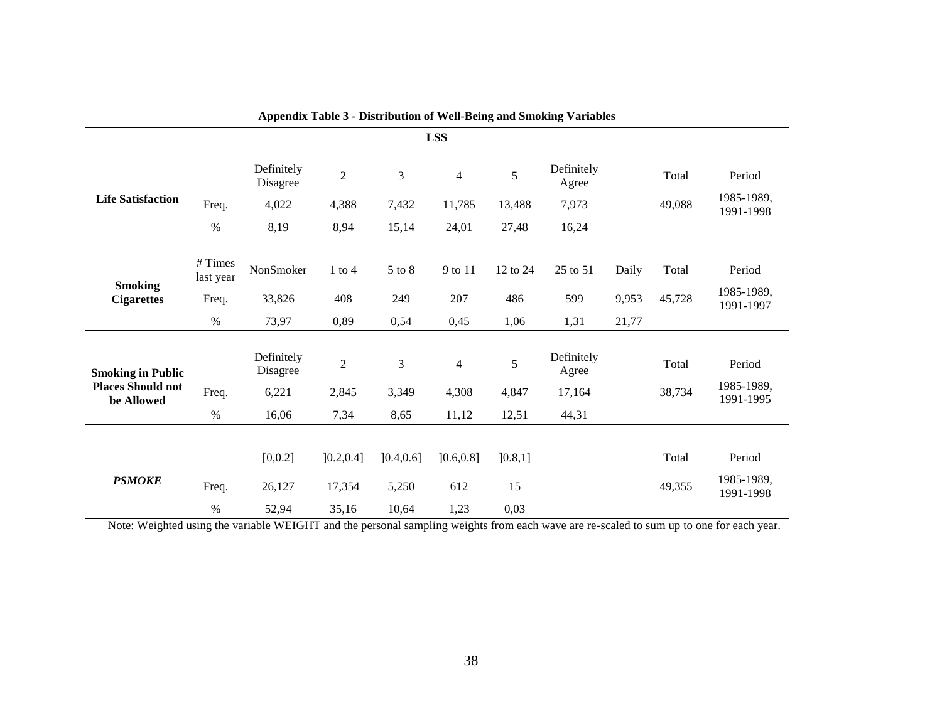|                                        |                     | --rr                   |                |                | <b>LSS</b>     |          |                     |       |        |                         |
|----------------------------------------|---------------------|------------------------|----------------|----------------|----------------|----------|---------------------|-------|--------|-------------------------|
|                                        |                     | Definitely<br>Disagree | $\overline{2}$ | 3              | $\overline{4}$ | 5        | Definitely<br>Agree |       | Total  | Period                  |
| <b>Life Satisfaction</b>               | Freq.               | 4,022                  | 4,388          | 7,432          | 11,785         | 13,488   | 7,973               |       | 49,088 | 1985-1989,<br>1991-1998 |
|                                        | $\%$                | 8,19                   | 8,94           | 15,14          | 24,01          | 27,48    | 16,24               |       |        |                         |
| <b>Smoking</b><br><b>Cigarettes</b>    | #Times<br>last year | NonSmoker              | $1$ to $4$     | 5 to 8         | 9 to 11        | 12 to 24 | 25 to 51            | Daily | Total  | Period                  |
|                                        | Freq.               | 33,826                 | 408            | 249            | 207            | 486      | 599                 | 9,953 | 45,728 | 1985-1989,<br>1991-1997 |
|                                        | $\%$                | 73,97                  | 0,89           | 0,54           | 0,45           | 1,06     | 1,31                | 21,77 |        |                         |
| <b>Smoking in Public</b>               |                     | Definitely<br>Disagree | $\sqrt{2}$     | $\mathfrak{Z}$ | $\overline{4}$ | 5        | Definitely<br>Agree |       | Total  | Period                  |
| <b>Places Should not</b><br>be Allowed | Freq.               | 6,221                  | 2,845          | 3,349          | 4,308          | 4,847    | 17,164              |       | 38,734 | 1985-1989,<br>1991-1995 |
|                                        | $\%$                | 16,06                  | 7,34           | 8,65           | 11,12          | 12,51    | 44,31               |       |        |                         |
|                                        |                     |                        |                |                |                |          |                     |       |        |                         |
|                                        |                     | [0, 0.2]               | ]0.2, 0.4]     | ]0.4, 0.6]     | ]0.6, 0.8]     | ]0.8,1]  |                     |       | Total  | Period                  |
| <b>PSMOKE</b>                          | Freq.               | 26,127                 | 17,354         | 5,250          | 612            | 15       |                     |       | 49,355 | 1985-1989,<br>1991-1998 |
|                                        | $\%$                | 52,94                  | 35,16          | 10,64          | 1,23           | 0,03     |                     |       |        |                         |

|  |  | <b>Appendix Table 3 - Distribution of Well-Being and Smoking Variables</b> |  |  |  |
|--|--|----------------------------------------------------------------------------|--|--|--|
|  |  |                                                                            |  |  |  |

Note: Weighted using the variable WEIGHT and the personal sampling weights from each wave are re-scaled to sum up to one for each year.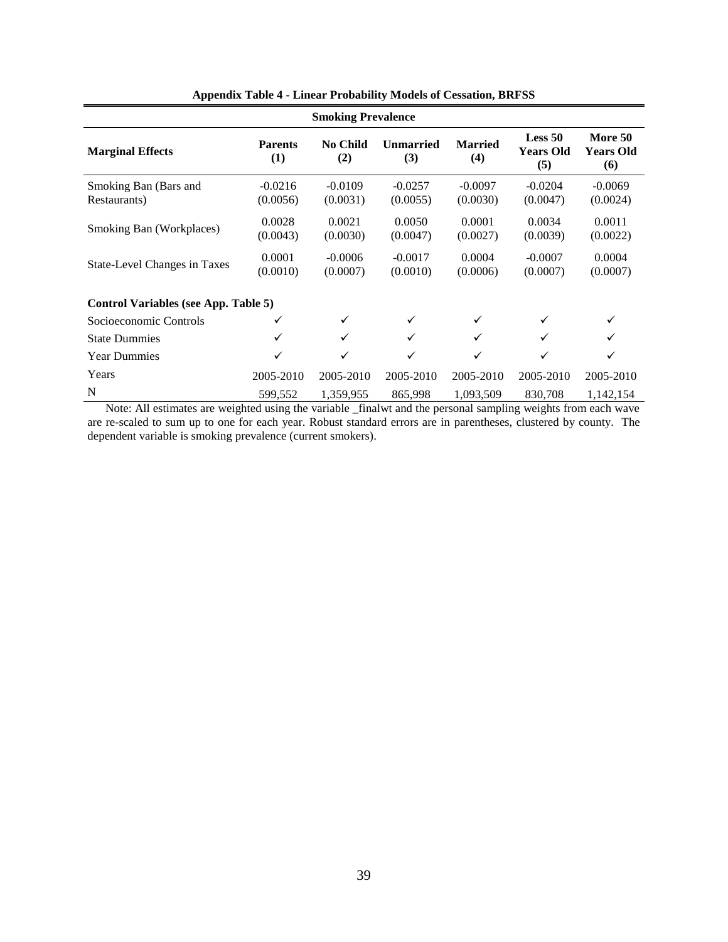| <b>Smoking Prevalence</b>             |                       |                       |                         |                       |                                    |                                    |
|---------------------------------------|-----------------------|-----------------------|-------------------------|-----------------------|------------------------------------|------------------------------------|
| <b>Marginal Effects</b>               | <b>Parents</b><br>(1) | No Child<br>(2)       | <b>Unmarried</b><br>(3) | <b>Married</b><br>(4) | Less 50<br><b>Years Old</b><br>(5) | More 50<br><b>Years Old</b><br>(6) |
| Smoking Ban (Bars and<br>Restaurants) | $-0.0216$<br>(0.0056) | $-0.0109$<br>(0.0031) | $-0.0257$<br>(0.0055)   | $-0.0097$<br>(0.0030) | $-0.0204$<br>(0.0047)              | $-0.0069$<br>(0.0024)              |
| Smoking Ban (Workplaces)              | 0.0028<br>(0.0043)    | 0.0021<br>(0.0030)    | 0.0050<br>(0.0047)      | 0.0001<br>(0.0027)    | 0.0034<br>(0.0039)                 | 0.0011<br>(0.0022)                 |
| State-Level Changes in Taxes          | 0.0001<br>(0.0010)    | $-0.0006$<br>(0.0007) | $-0.0017$<br>(0.0010)   | 0.0004<br>(0.0006)    | $-0.0007$<br>(0.0007)              | 0.0004<br>(0.0007)                 |
| Control Variables (see App. Table 5)  |                       |                       |                         |                       |                                    |                                    |
| Socioeconomic Controls                |                       | ✓                     | ✓                       | ✓                     |                                    | ✓                                  |
| <b>State Dummies</b>                  | ✓                     | ✓                     | ✓                       | ✓                     | ✓                                  |                                    |
| <b>Year Dummies</b>                   | ✓                     | ✓                     | $\checkmark$            | ✓                     | ✓                                  | ✓                                  |
| Years                                 | 2005-2010             | 2005-2010             | 2005-2010               | 2005-2010             | 2005-2010                          | 2005-2010                          |
| N                                     | 599,552               | 1,359,955             | 865,998                 | 1,093,509             | 830,708                            | 1,142,154                          |

**Appendix Table 4 - Linear Probability Models of Cessation, BRFSS**

 Note: All estimates are weighted using the variable \_finalwt and the personal sampling weights from each wave are re-scaled to sum up to one for each year. Robust standard errors are in parentheses, clustered by county. The dependent variable is smoking prevalence (current smokers).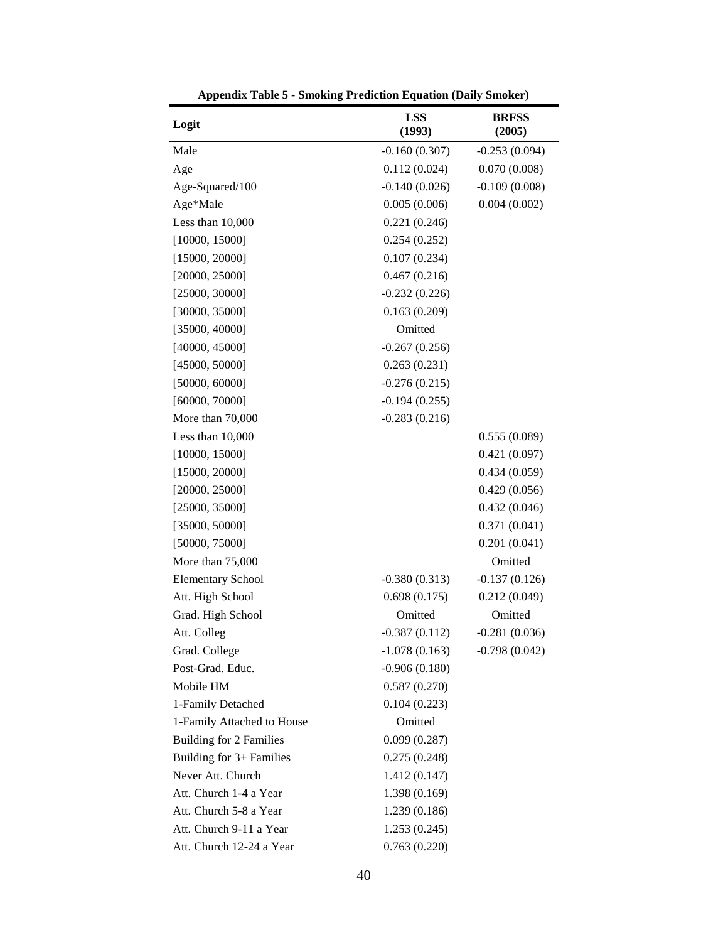| Logit                          | <b>LSS</b><br>(1993) | <b>BRFSS</b><br>(2005) |  |
|--------------------------------|----------------------|------------------------|--|
| Male                           | $-0.160(0.307)$      | $-0.253(0.094)$        |  |
| Age                            | 0.112(0.024)         | 0.070(0.008)           |  |
| Age-Squared/100                | $-0.140(0.026)$      | $-0.109(0.008)$        |  |
| Age*Male                       | 0.005(0.006)         | 0.004(0.002)           |  |
| Less than 10,000               | 0.221(0.246)         |                        |  |
| [10000, 15000]                 | 0.254(0.252)         |                        |  |
| [15000, 20000]                 | 0.107(0.234)         |                        |  |
| [20000, 25000]                 | 0.467(0.216)         |                        |  |
| [25000, 30000]                 | $-0.232(0.226)$      |                        |  |
| [30000, 35000]                 | 0.163(0.209)         |                        |  |
| [35000, 40000]                 | Omitted              |                        |  |
| [40000, 45000]                 | $-0.267(0.256)$      |                        |  |
| [45000, 50000]                 | 0.263(0.231)         |                        |  |
| [50000, 60000]                 | $-0.276(0.215)$      |                        |  |
| [60000, 70000]                 | $-0.194(0.255)$      |                        |  |
| More than 70,000               | $-0.283(0.216)$      |                        |  |
| Less than 10,000               |                      | 0.555(0.089)           |  |
| [10000, 15000]                 |                      | 0.421(0.097)           |  |
| [15000, 20000]                 |                      | 0.434(0.059)           |  |
| [20000, 25000]                 |                      | 0.429(0.056)           |  |
| [25000, 35000]                 |                      | 0.432(0.046)           |  |
| [35000, 50000]                 |                      | 0.371(0.041)           |  |
| [50000, 75000]                 |                      | 0.201(0.041)           |  |
| More than 75,000               |                      | Omitted                |  |
| <b>Elementary School</b>       | $-0.380(0.313)$      | $-0.137(0.126)$        |  |
| Att. High School               | 0.698(0.175)         | 0.212(0.049)           |  |
| Grad. High School              | Omitted              | Omitted                |  |
| Att. Colleg                    | $-0.387(0.112)$      | $-0.281(0.036)$        |  |
| Grad. College                  | $-1.078(0.163)$      | $-0.798(0.042)$        |  |
| Post-Grad. Educ.               | $-0.906(0.180)$      |                        |  |
| Mobile HM                      | 0.587(0.270)         |                        |  |
| 1-Family Detached              | 0.104(0.223)         |                        |  |
| 1-Family Attached to House     | Omitted              |                        |  |
| <b>Building for 2 Families</b> | 0.099(0.287)         |                        |  |
| Building for 3+ Families       | 0.275(0.248)         |                        |  |
| Never Att. Church              | 1.412(0.147)         |                        |  |
| Att. Church 1-4 a Year         | 1.398 (0.169)        |                        |  |
| Att. Church 5-8 a Year         | 1.239 (0.186)        |                        |  |
| Att. Church 9-11 a Year        | 1.253(0.245)         |                        |  |
| Att. Church 12-24 a Year       | 0.763(0.220)         |                        |  |

**Appendix Table 5 - Smoking Prediction Equation (Daily Smoker)**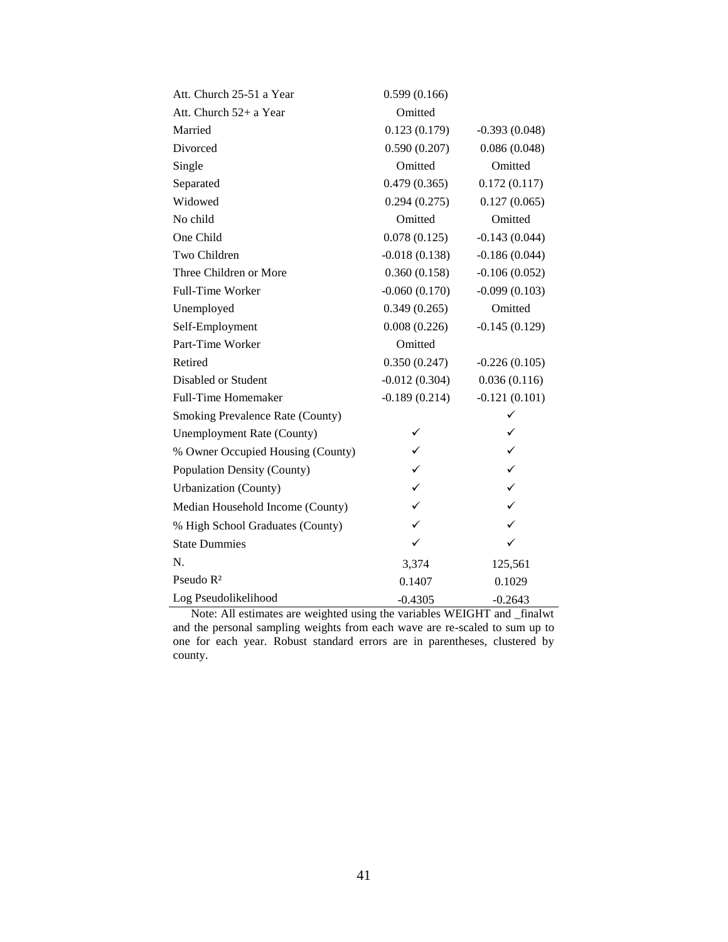| Att. Church 25-51 a Year          | 0.599(0.166)    |                 |
|-----------------------------------|-----------------|-----------------|
| Att. Church 52+ a Year            | Omitted         |                 |
| Married                           | 0.123(0.179)    | $-0.393(0.048)$ |
| Divorced                          | 0.590(0.207)    | 0.086(0.048)    |
| Single                            | Omitted         | Omitted         |
| Separated                         | 0.479(0.365)    | 0.172(0.117)    |
| Widowed                           | 0.294(0.275)    | 0.127(0.065)    |
| No child                          | Omitted         | Omitted         |
| One Child                         | 0.078(0.125)    | $-0.143(0.044)$ |
| Two Children                      | $-0.018(0.138)$ | $-0.186(0.044)$ |
| Three Children or More            | 0.360(0.158)    | $-0.106(0.052)$ |
| Full-Time Worker                  | $-0.060(0.170)$ | $-0.099(0.103)$ |
| Unemployed                        | 0.349(0.265)    | Omitted         |
| Self-Employment                   | 0.008(0.226)    | $-0.145(0.129)$ |
| Part-Time Worker                  | Omitted         |                 |
| Retired                           | 0.350(0.247)    | $-0.226(0.105)$ |
| Disabled or Student               | $-0.012(0.304)$ | 0.036(0.116)    |
| <b>Full-Time Homemaker</b>        | $-0.189(0.214)$ | $-0.121(0.101)$ |
| Smoking Prevalence Rate (County)  |                 | ✓               |
| <b>Unemployment Rate (County)</b> |                 | $\checkmark$    |
| % Owner Occupied Housing (County) | $\checkmark$    | $\checkmark$    |
| Population Density (County)       | $\checkmark$    | $\checkmark$    |
| <b>Urbanization</b> (County)      | $\checkmark$    | $\checkmark$    |
| Median Household Income (County)  | $\checkmark$    | $\checkmark$    |
| % High School Graduates (County)  | $\checkmark$    | $\checkmark$    |
| <b>State Dummies</b>              | $\checkmark$    | $\checkmark$    |
| N.                                | 3,374           | 125,561         |
| Pseudo R <sup>2</sup>             | 0.1407          | 0.1029          |
| Log Pseudolikelihood              | $-0.4305$       | $-0.2643$       |

 Note: All estimates are weighted using the variables WEIGHT and \_finalwt and the personal sampling weights from each wave are re-scaled to sum up to one for each year. Robust standard errors are in parentheses, clustered by county.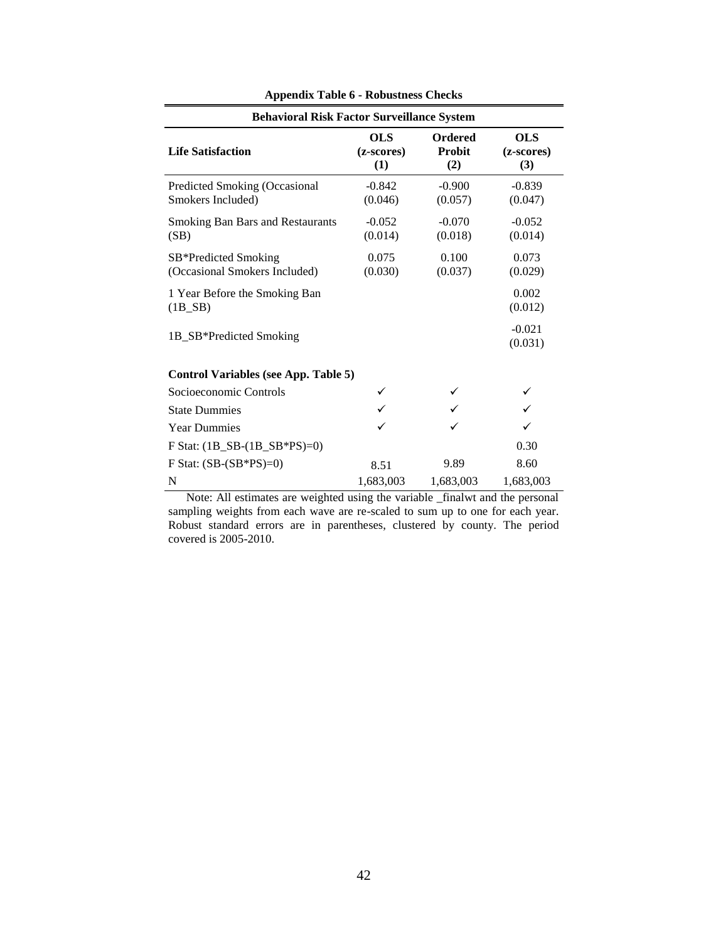| <b>Behavioral Risk Factor Surveillance System</b>           |                                 |                                        |                                 |  |  |  |
|-------------------------------------------------------------|---------------------------------|----------------------------------------|---------------------------------|--|--|--|
| <b>Life Satisfaction</b>                                    | <b>OLS</b><br>(z-scores)<br>(1) | <b>Ordered</b><br><b>Probit</b><br>(2) | <b>OLS</b><br>(z-scores)<br>(3) |  |  |  |
| Predicted Smoking (Occasional<br>Smokers Included)          | $-0.842$<br>(0.046)             | $-0.900$<br>(0.057)                    | $-0.839$<br>(0.047)             |  |  |  |
| <b>Smoking Ban Bars and Restaurants</b><br>(SB)             | $-0.052$<br>(0.014)             | $-0.070$<br>(0.018)                    | $-0.052$<br>(0.014)             |  |  |  |
| SB*Predicted Smoking<br>(Occasional Smokers Included)       | 0.075<br>(0.030)                | 0.100<br>(0.037)                       | 0.073<br>(0.029)                |  |  |  |
| 1 Year Before the Smoking Ban<br>$(1B$ <sub>-SB</sub> $)$   |                                 |                                        | 0.002<br>(0.012)                |  |  |  |
| 1B_SB*Predicted Smoking                                     |                                 |                                        | $-0.021$<br>(0.031)             |  |  |  |
| <b>Control Variables (see App. Table 5)</b>                 |                                 |                                        |                                 |  |  |  |
| Socioeconomic Controls                                      |                                 |                                        |                                 |  |  |  |
| <b>State Dummies</b>                                        |                                 |                                        |                                 |  |  |  |
| <b>Year Dummies</b>                                         |                                 |                                        |                                 |  |  |  |
| F Stat: $(1B$ <sub>SB</sub> - $(1B$ <sub>SB</sub> *PS $)=0$ |                                 |                                        | 0.30                            |  |  |  |
| F Stat: $(SB-(SB*PS)=0)$                                    | 8.51                            | 9.89                                   | 8.60                            |  |  |  |
| N                                                           | 1,683,003                       | 1,683,003                              | 1,683,003                       |  |  |  |

**Appendix Table 6 - Robustness Checks**

 Note: All estimates are weighted using the variable \_finalwt and the personal sampling weights from each wave are re-scaled to sum up to one for each year. Robust standard errors are in parentheses, clustered by county. The period covered is 2005-2010.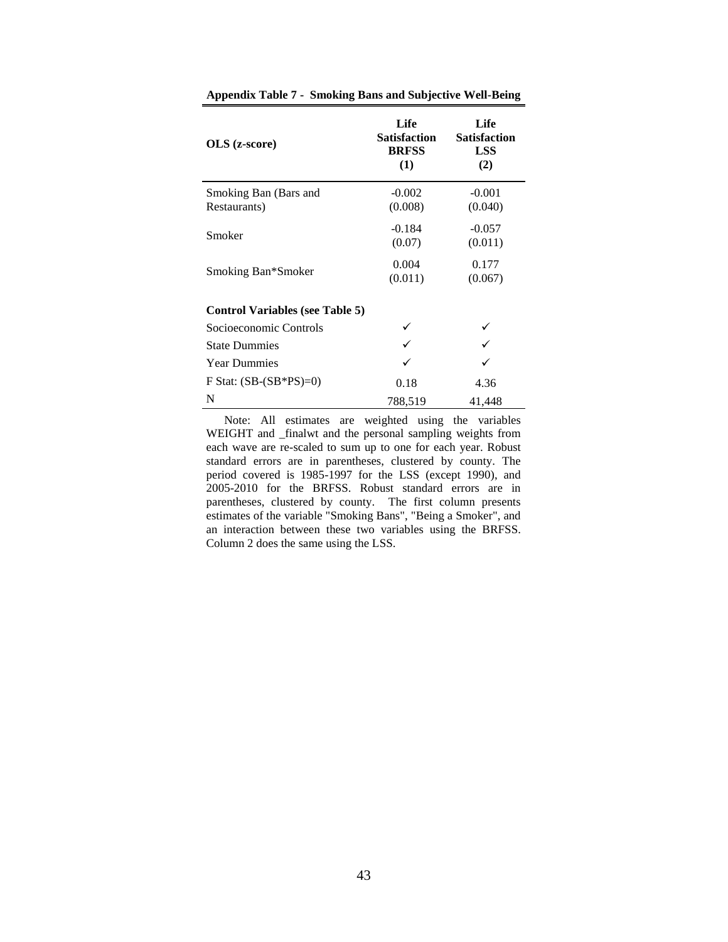| $OLS$ (z-score)                        | Life<br>Satisfaction<br><b>BRFSS</b><br>(1) | Life<br><b>Satisfaction</b><br><b>LSS</b><br>(2) |  |
|----------------------------------------|---------------------------------------------|--------------------------------------------------|--|
| Smoking Ban (Bars and                  | $-0.002$                                    | $-0.001$                                         |  |
| Restaurants)                           | (0.008)                                     | (0.040)                                          |  |
| Smoker                                 | $-0.184$                                    | $-0.057$                                         |  |
|                                        | (0.07)                                      | (0.011)                                          |  |
|                                        | 0.004                                       | 0.177                                            |  |
| Smoking Ban*Smoker                     | (0.011)                                     | (0.067)                                          |  |
| <b>Control Variables (see Table 5)</b> |                                             |                                                  |  |
| Socioeconomic Controls                 |                                             |                                                  |  |
| <b>State Dummies</b>                   |                                             |                                                  |  |
| <b>Year Dummies</b>                    |                                             |                                                  |  |
| F Stat: $(SB-(SB*PS)=0)$               | 0.18                                        | 4.36                                             |  |
| N                                      | 788,519                                     | 41,448                                           |  |

**Appendix Table 7 - Smoking Bans and Subjective Well-Being**

 Note: All estimates are weighted using the variables WEIGHT and \_finalwt and the personal sampling weights from each wave are re-scaled to sum up to one for each year. Robust standard errors are in parentheses, clustered by county. The period covered is 1985-1997 for the LSS (except 1990), and 2005-2010 for the BRFSS. Robust standard errors are in parentheses, clustered by county. The first column presents estimates of the variable "Smoking Bans", "Being a Smoker", and an interaction between these two variables using the BRFSS. Column 2 does the same using the LSS.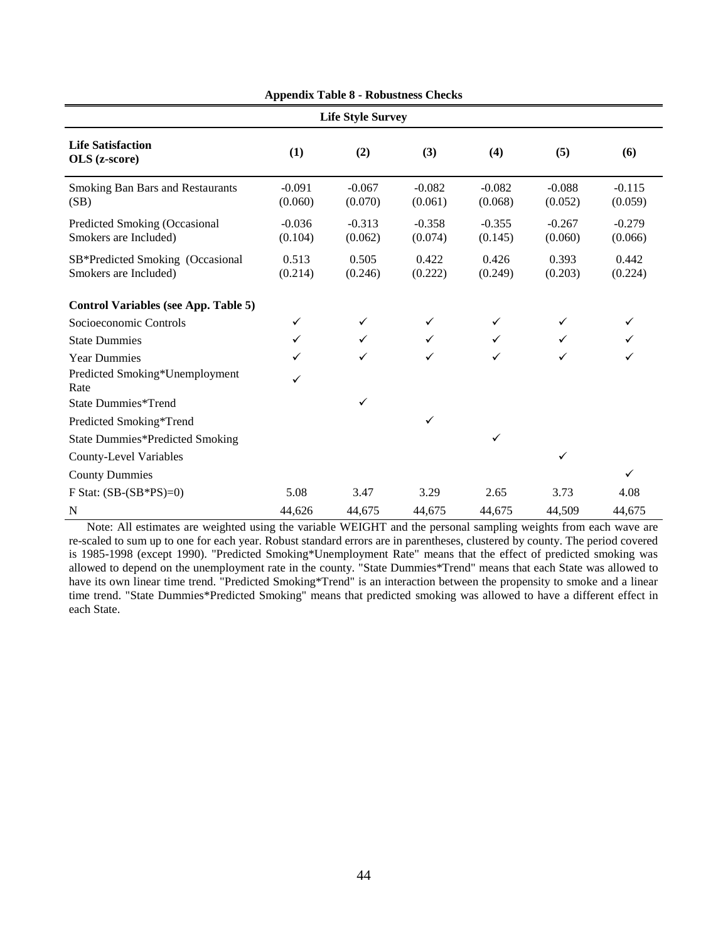| <b>Life Style Survey</b>                                  |                     |                     |                     |                     |                     |                     |
|-----------------------------------------------------------|---------------------|---------------------|---------------------|---------------------|---------------------|---------------------|
| <b>Life Satisfaction</b><br>OLS (z-score)                 | (1)                 | (2)                 | (3)                 | (4)                 | (5)                 | (6)                 |
| <b>Smoking Ban Bars and Restaurants</b><br>(SB)           | $-0.091$<br>(0.060) | $-0.067$<br>(0.070) | $-0.082$<br>(0.061) | $-0.082$<br>(0.068) | $-0.088$<br>(0.052) | $-0.115$<br>(0.059) |
| Predicted Smoking (Occasional<br>Smokers are Included)    | $-0.036$<br>(0.104) | $-0.313$<br>(0.062) | $-0.358$<br>(0.074) | $-0.355$<br>(0.145) | $-0.267$<br>(0.060) | $-0.279$<br>(0.066) |
| SB*Predicted Smoking (Occasional<br>Smokers are Included) | 0.513<br>(0.214)    | 0.505<br>(0.246)    | 0.422<br>(0.222)    | 0.426<br>(0.249)    | 0.393<br>(0.203)    | 0.442<br>(0.224)    |
| <b>Control Variables (see App. Table 5)</b>               |                     |                     |                     |                     |                     |                     |
| Socioeconomic Controls                                    | ✓                   | ✓                   | ✓                   | $\checkmark$        | ✓                   | ✓                   |
| <b>State Dummies</b>                                      | ✓                   | $\checkmark$        | $\checkmark$        | $\checkmark$        | ✓                   | ✓                   |
| <b>Year Dummies</b>                                       | ✓                   | ✓                   | $\checkmark$        | ✓                   | ✓                   | ✓                   |
| Predicted Smoking*Unemployment<br>Rate                    | $\checkmark$        |                     |                     |                     |                     |                     |
| State Dummies*Trend                                       |                     | ✓                   |                     |                     |                     |                     |
| Predicted Smoking*Trend                                   |                     |                     | ✓                   |                     |                     |                     |
| <b>State Dummies*Predicted Smoking</b>                    |                     |                     |                     | $\checkmark$        |                     |                     |
| <b>County-Level Variables</b>                             |                     |                     |                     |                     | ✓                   |                     |
| <b>County Dummies</b>                                     |                     |                     |                     |                     |                     | $\checkmark$        |
| F Stat: $(SB-(SB*PS)=0)$                                  | 5.08                | 3.47                | 3.29                | 2.65                | 3.73                | 4.08                |
| N                                                         | 44,626              | 44,675              | 44,675              | 44,675              | 44,509              | 44,675              |

**Appendix Table 8 - Robustness Checks**

 Note: All estimates are weighted using the variable WEIGHT and the personal sampling weights from each wave are re-scaled to sum up to one for each year. Robust standard errors are in parentheses, clustered by county. The period covered is 1985-1998 (except 1990). "Predicted Smoking\*Unemployment Rate" means that the effect of predicted smoking was allowed to depend on the unemployment rate in the county. "State Dummies\*Trend" means that each State was allowed to have its own linear time trend. "Predicted Smoking\*Trend" is an interaction between the propensity to smoke and a linear time trend. "State Dummies\*Predicted Smoking" means that predicted smoking was allowed to have a different effect in each State.